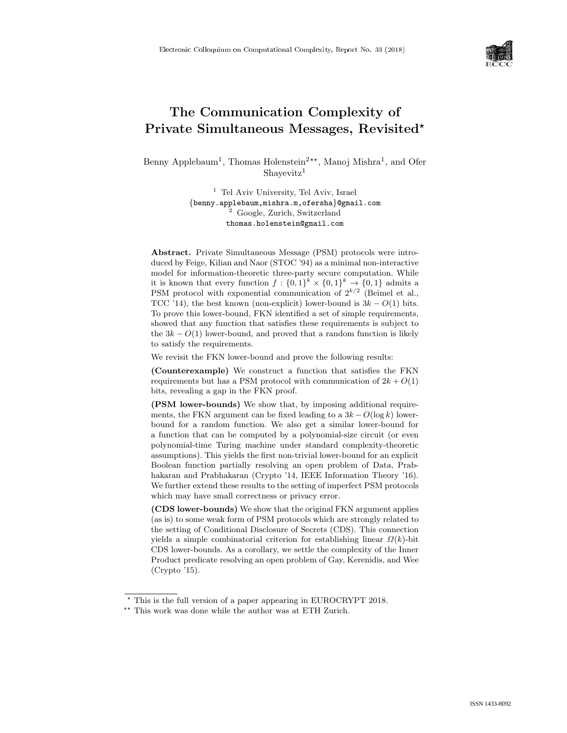

# The Communication Complexity of Private Simultaneous Messages, Revisited<sup>\*</sup>

Benny Applebaum<sup>1</sup>, Thomas Holenstein<sup>2\*\*</sup>, Manoj Mishra<sup>1</sup>, and Ofer Shayevitz<sup>1</sup>

> <sup>1</sup> Tel Aviv University, Tel Aviv, Israel {benny.applebaum,mishra.m,ofersha}@gmail.com <sup>2</sup> Google, Zurich, Switzerland thomas.holenstein@gmail.com

Abstract. Private Simultaneous Message (PSM) protocols were introduced by Feige, Kilian and Naor (STOC '94) as a minimal non-interactive model for information-theoretic three-party secure computation. While it is known that every function  $f: \{0,1\}^k \times \{0,1\}^k \to \{0,1\}$  admits a PSM protocol with exponential communication of  $2^{k/2}$  (Beimel et al., TCC '14), the best known (non-explicit) lower-bound is  $3k - O(1)$  bits. To prove this lower-bound, FKN identified a set of simple requirements, showed that any function that satisfies these requirements is subject to the  $3k - O(1)$  lower-bound, and proved that a random function is likely to satisfy the requirements.

We revisit the FKN lower-bound and prove the following results:

(Counterexample) We construct a function that satisfies the FKN requirements but has a PSM protocol with communication of  $2k + O(1)$ bits, revealing a gap in the FKN proof.

(PSM lower-bounds) We show that, by imposing additional requirements, the FKN argument can be fixed leading to a  $3k - O(\log k)$  lowerbound for a random function. We also get a similar lower-bound for a function that can be computed by a polynomial-size circuit (or even polynomial-time Turing machine under standard complexity-theoretic assumptions). This yields the first non-trivial lower-bound for an explicit Boolean function partially resolving an open problem of Data, Prabhakaran and Prabhakaran (Crypto '14, IEEE Information Theory '16). We further extend these results to the setting of imperfect PSM protocols which may have small correctness or privacy error.

(CDS lower-bounds) We show that the original FKN argument applies (as is) to some weak form of PSM protocols which are strongly related to the setting of Conditional Disclosure of Secrets (CDS). This connection yields a simple combinatorial criterion for establishing linear  $\Omega(k)$ -bit CDS lower-bounds. As a corollary, we settle the complexity of the Inner Product predicate resolving an open problem of Gay, Kerenidis, and Wee (Crypto '15).

<sup>?</sup> This is the full version of a paper appearing in EUROCRYPT 2018.

<sup>\*\*</sup> This work was done while the author was at ETH Zurich.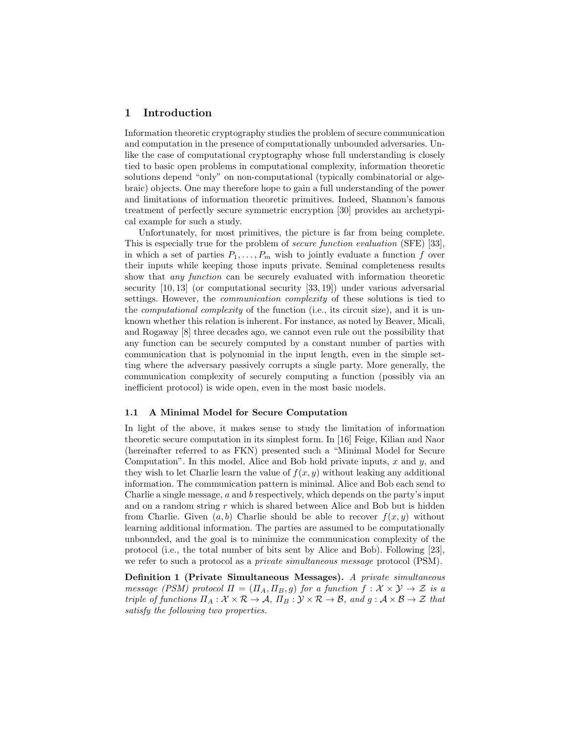## 1 Introduction

Information theoretic cryptography studies the problem of secure communication and computation in the presence of computationally unbounded adversaries. Unlike the case of computational cryptography whose full understanding is closely tied to basic open problems in computational complexity, information theoretic solutions depend "only" on non-computational (typically combinatorial or algebraic) objects. One may therefore hope to gain a full understanding of the power and limitations of information theoretic primitives. Indeed, Shannon's famous treatment of perfectly secure symmetric encryption [30] provides an archetypical example for such a study.

Unfortunately, for most primitives, the picture is far from being complete. This is especially true for the problem of secure function evaluation (SFE) [33], in which a set of parties  $P_1, \ldots, P_m$  wish to jointly evaluate a function f over their inputs while keeping those inputs private. Seminal completeness results show that *any function* can be securely evaluated with information theoretic security [10, 13] (or computational security [33, 19]) under various adversarial settings. However, the *communication complexity* of these solutions is tied to the computational complexity of the function (i.e., its circuit size), and it is unknown whether this relation is inherent. For instance, as noted by Beaver, Micali, and Rogaway [8] three decades ago, we cannot even rule out the possibility that any function can be securely computed by a constant number of parties with communication that is polynomial in the input length, even in the simple setting where the adversary passively corrupts a single party. More generally, the communication complexity of securely computing a function (possibly via an inefficient protocol) is wide open, even in the most basic models.

#### 1.1 A Minimal Model for Secure Computation

In light of the above, it makes sense to study the limitation of information theoretic secure computation in its simplest form. In [16] Feige, Kilian and Naor (hereinafter referred to as FKN) presented such a "Minimal Model for Secure Computation". In this model, Alice and Bob hold private inputs, x and  $y$ , and they wish to let Charlie learn the value of  $f(x, y)$  without leaking any additional information. The communication pattern is minimal. Alice and Bob each send to Charlie a single message,  $a$  and  $b$  respectively, which depends on the party's input and on a random string  $r$  which is shared between Alice and Bob but is hidden from Charlie. Given  $(a, b)$  Charlie should be able to recover  $f(x, y)$  without learning additional information. The parties are assumed to be computationally unbounded, and the goal is to minimize the communication complexity of the protocol (i.e., the total number of bits sent by Alice and Bob). Following [23], we refer to such a protocol as a private simultaneous message protocol (PSM).

Definition 1 (Private Simultaneous Messages). A private simultaneous message (PSM) protocol  $\Pi = (\Pi_A, \Pi_B, g)$  for a function  $f : \mathcal{X} \times \mathcal{Y} \to \mathcal{Z}$  is a triple of functions  $\Pi_A : \mathcal{X} \times \mathcal{R} \to \mathcal{A}, \Pi_B : \mathcal{Y} \times \mathcal{R} \to \mathcal{B}, \text{ and } g : \mathcal{A} \times \mathcal{B} \to \mathcal{Z}$  that satisfy the following two properties.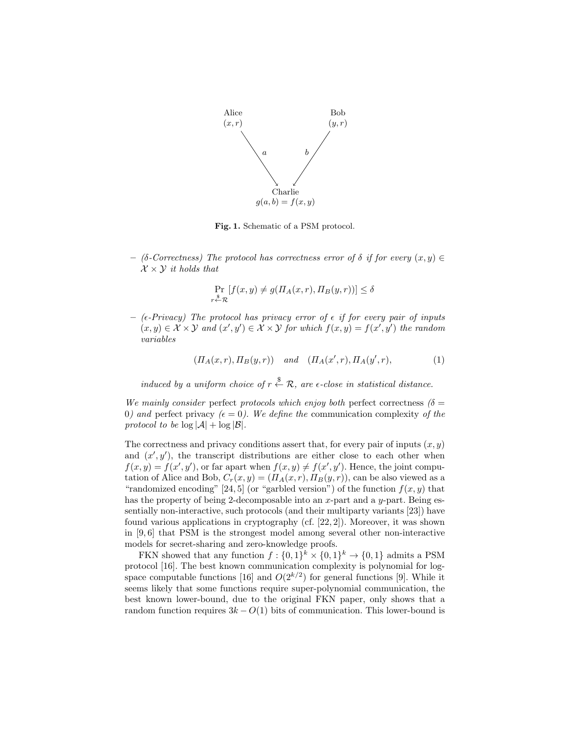

Fig. 1. Schematic of a PSM protocol.

– (δ-Correctness) The protocol has correctness error of δ if for every (x, y) ∈  $\mathcal{X} \times \mathcal{Y}$  it holds that

$$
\Pr_{r \stackrel{k}{\leftarrow} \mathcal{R}} [f(x, y) \neq g(\Pi_A(x, r), \Pi_B(y, r))] \le \delta
$$

 $-$  ( $\epsilon$ -Privacy) The protocol has privacy error of  $\epsilon$  if for every pair of inputs  $(x, y) \in \mathcal{X} \times \mathcal{Y}$  and  $(x', y') \in \mathcal{X} \times \mathcal{Y}$  for which  $f(x, y) = f(x', y')$  the random variables

$$
(H_A(x,r), H_B(y,r)) \quad and \quad (H_A(x',r), H_A(y',r), \tag{1}
$$

induced by a uniform choice of  $r \stackrel{\$}{\leftarrow} \mathcal{R}$ , are  $\epsilon$ -close in statistical distance.

We mainly consider perfect protocols which enjoy both perfect correctness ( $\delta =$ 0) and perfect privacy ( $\epsilon = 0$ ). We define the communication complexity of the protocol to be  $\log |\mathcal{A}| + \log |\mathcal{B}|$ .

The correctness and privacy conditions assert that, for every pair of inputs  $(x, y)$ and  $(x', y')$ , the transcript distributions are either close to each other when  $f(x, y) = f(x', y')$ , or far apart when  $f(x, y) \neq f(x', y')$ . Hence, the joint computation of Alice and Bob,  $C_r(x, y) = (H_A(x, r), H_B(y, r))$ , can be also viewed as a "randomized encoding" [24, 5] (or "garbled version") of the function  $f(x, y)$  that has the property of being 2-decomposable into an x-part and a y-part. Being essentially non-interactive, such protocols (and their multiparty variants [23]) have found various applications in cryptography (cf. [22, 2]). Moreover, it was shown in [9, 6] that PSM is the strongest model among several other non-interactive models for secret-sharing and zero-knowledge proofs.

FKN showed that any function  $f: \{0,1\}^k \times \{0,1\}^k \to \{0,1\}$  admits a PSM protocol [16]. The best known communication complexity is polynomial for logspace computable functions [16] and  $O(2^{k/2})$  for general functions [9]. While it seems likely that some functions require super-polynomial communication, the best known lower-bound, due to the original FKN paper, only shows that a random function requires  $3k - O(1)$  bits of communication. This lower-bound is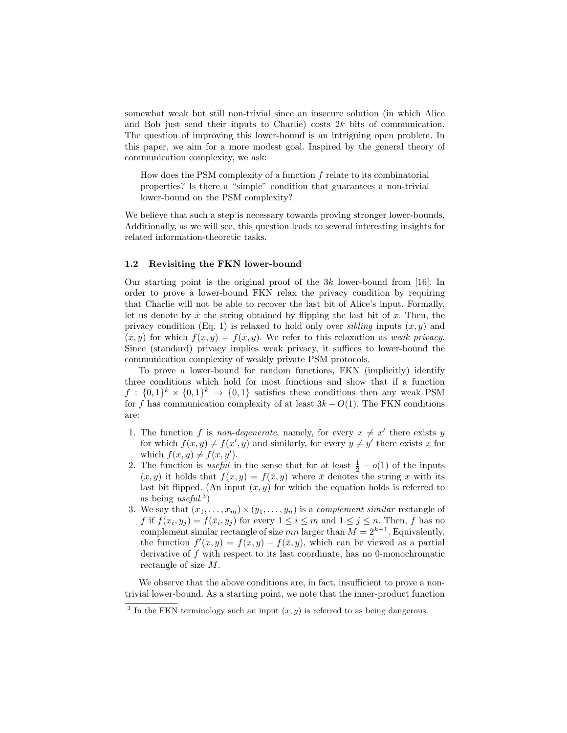somewhat weak but still non-trivial since an insecure solution (in which Alice and Bob just send their inputs to Charlie) costs  $2k$  bits of communication. The question of improving this lower-bound is an intriguing open problem. In this paper, we aim for a more modest goal. Inspired by the general theory of communication complexity, we ask:

How does the PSM complexity of a function f relate to its combinatorial properties? Is there a "simple" condition that guarantees a non-trivial lower-bound on the PSM complexity?

We believe that such a step is necessary towards proving stronger lower-bounds. Additionally, as we will see, this question leads to several interesting insights for related information-theoretic tasks.

#### 1.2 Revisiting the FKN lower-bound

Our starting point is the original proof of the  $3k$  lower-bound from [16]. In order to prove a lower-bound FKN relax the privacy condition by requiring that Charlie will not be able to recover the last bit of Alice's input. Formally, let us denote by  $\bar{x}$  the string obtained by flipping the last bit of x. Then, the privacy condition (Eq. 1) is relaxed to hold only over *sibling* inputs  $(x, y)$  and  $(\bar{x}, y)$  for which  $f(x, y) = f(\bar{x}, y)$ . We refer to this relaxation as weak privacy. Since (standard) privacy implies weak privacy, it suffices to lower-bound the communication complexity of weakly private PSM protocols.

To prove a lower-bound for random functions, FKN (implicitly) identify three conditions which hold for most functions and show that if a function  $f: \{0,1\}^k \times \{0,1\}^k \rightarrow \{0,1\}$  satisfies these conditions then any weak PSM for f has communication complexity of at least  $3k - O(1)$ . The FKN conditions are:

- 1. The function f is non-degenerate, namely, for every  $x \neq x'$  there exists y for which  $f(x, y) \neq f(x', y)$  and similarly, for every  $y \neq y'$  there exists x for which  $f(x, y) \neq f(x, y')$ .
- 2. The function is *useful* in the sense that for at least  $\frac{1}{2} o(1)$  of the inputs  $(x, y)$  it holds that  $f(x, y) = f(\bar{x}, y)$  where  $\bar{x}$  denotes the string x with its last bit flipped. (An input  $(x, y)$  for which the equation holds is referred to as being  $useful.^3$ )
- 3. We say that  $(x_1, \ldots, x_m) \times (y_1, \ldots, y_n)$  is a *complement similar* rectangle of f if  $f(x_i, y_j) = f(\bar{x}_i, y_j)$  for every  $1 \leq i \leq m$  and  $1 \leq j \leq n$ . Then, f has no complement similar rectangle of size mn larger than  $M = 2^{k+1}$ . Equivalently, the function  $f'(x, y) = f(x, y) - f(\bar{x}, y)$ , which can be viewed as a partial derivative of  $f$  with respect to its last coordinate, has no 0-monochromatic rectangle of size M.

We observe that the above conditions are, in fact, insufficient to prove a nontrivial lower-bound. As a starting point, we note that the inner-product function

<sup>&</sup>lt;sup>3</sup> In the FKN terminology such an input  $(x, y)$  is referred to as being dangerous.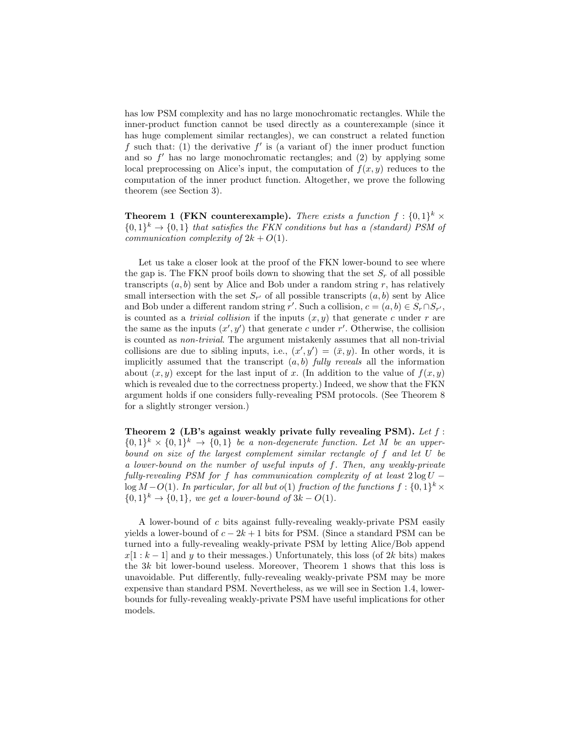has low PSM complexity and has no large monochromatic rectangles. While the inner-product function cannot be used directly as a counterexample (since it has huge complement similar rectangles), we can construct a related function f such that: (1) the derivative  $f'$  is (a variant of) the inner product function and so  $f'$  has no large monochromatic rectangles; and  $(2)$  by applying some local preprocessing on Alice's input, the computation of  $f(x, y)$  reduces to the computation of the inner product function. Altogether, we prove the following theorem (see Section 3).

**Theorem 1 (FKN counterexample).** There exists a function  $f : \{0,1\}^k \times$  $\{0,1\}^k \rightarrow \{0,1\}$  that satisfies the FKN conditions but has a (standard) PSM of communication complexity of  $2k + O(1)$ .

Let us take a closer look at the proof of the FKN lower-bound to see where the gap is. The FKN proof boils down to showing that the set  $S_r$  of all possible transcripts  $(a, b)$  sent by Alice and Bob under a random string r, has relatively small intersection with the set  $S_{r'}$  of all possible transcripts  $(a, b)$  sent by Alice and Bob under a different random string r'. Such a collision,  $c = (a, b) \in S_r \cap S_{r'}$ , is counted as a *trivial collision* if the inputs  $(x, y)$  that generate c under r are the same as the inputs  $(x', y')$  that generate c under r'. Otherwise, the collision is counted as non-trivial. The argument mistakenly assumes that all non-trivial collisions are due to sibling inputs, i.e.,  $(x', y') = (\bar{x}, y)$ . In other words, it is implicitly assumed that the transcript  $(a, b)$  fully reveals all the information about  $(x, y)$  except for the last input of x. (In addition to the value of  $f(x, y)$ which is revealed due to the correctness property.) Indeed, we show that the FKN argument holds if one considers fully-revealing PSM protocols. (See Theorem 8 for a slightly stronger version.)

Theorem 2 (LB's against weakly private fully revealing PSM). Let  $f$ :  $\{0,1\}^k \times \{0,1\}^k \rightarrow \{0,1\}$  be a non-degenerate function. Let M be an upperbound on size of the largest complement similar rectangle of f and let U be a lower-bound on the number of useful inputs of f. Then, any weakly-private fully-revealing PSM for f has communication complexity of at least  $2 \log U \log M - O(1)$ . In particular, for all but  $o(1)$  fraction of the functions  $f: \{0,1\}^k \times$  $\{0,1\}^k \to \{0,1\}$ , we get a lower-bound of  $3k - O(1)$ .

A lower-bound of c bits against fully-revealing weakly-private PSM easily yields a lower-bound of  $c - 2k + 1$  bits for PSM. (Since a standard PSM can be turned into a fully-revealing weakly-private PSM by letting Alice/Bob append  $x[1 : k-1]$  and y to their messages.) Unfortunately, this loss (of 2k bits) makes the 3k bit lower-bound useless. Moreover, Theorem 1 shows that this loss is unavoidable. Put differently, fully-revealing weakly-private PSM may be more expensive than standard PSM. Nevertheless, as we will see in Section 1.4, lowerbounds for fully-revealing weakly-private PSM have useful implications for other models.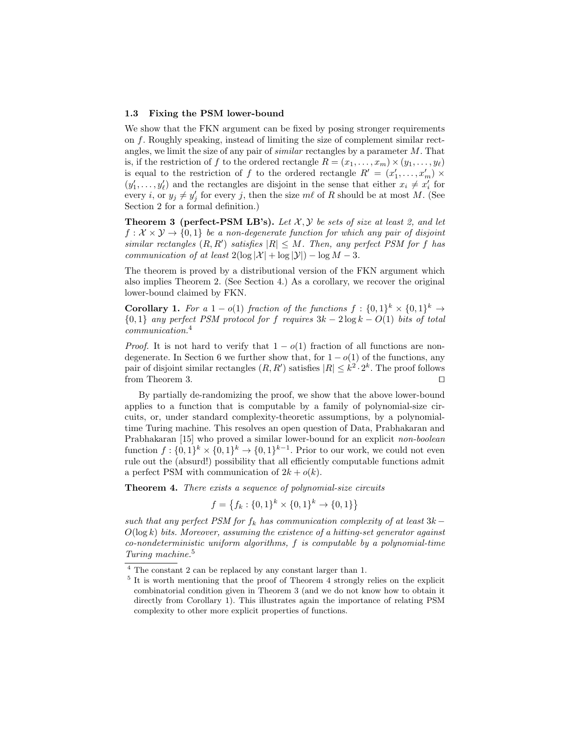#### 1.3 Fixing the PSM lower-bound

We show that the FKN argument can be fixed by posing stronger requirements on f. Roughly speaking, instead of limiting the size of complement similar rectangles, we limit the size of any pair of *similar* rectangles by a parameter  $M$ . That is, if the restriction of f to the ordered rectangle  $R = (x_1, \ldots, x_m) \times (y_1, \ldots, y_\ell)$ is equal to the restriction of f to the ordered rectangle  $R' = (x'_1, \ldots, x'_m) \times$  $(y'_1, \ldots, y'_\ell)$  and the rectangles are disjoint in the sense that either  $x_i \neq x'_i$  for every *i*, or  $y_j \neq y'_j$  for every *j*, then the size  $m\ell$  of R should be at most M. (See Section 2 for a formal definition.)

**Theorem 3 (perfect-PSM LB's).** Let  $\mathcal{X}, \mathcal{Y}$  be sets of size at least 2, and let  $f: \mathcal{X} \times \mathcal{Y} \rightarrow \{0,1\}$  be a non-degenerate function for which any pair of disjoint similar rectangles  $(R, R')$  satisfies  $|R| \leq M$ . Then, any perfect PSM for f has communication of at least  $2(\log |\mathcal{X}| + \log |\mathcal{Y}|) - \log M - 3$ .

The theorem is proved by a distributional version of the FKN argument which also implies Theorem 2. (See Section 4.) As a corollary, we recover the original lower-bound claimed by FKN.

**Corollary 1.** For a 1 – o(1) fraction of the functions  $f: \{0,1\}^k \times \{0,1\}^k \to$  ${0, 1}$  any perfect PSM protocol for f requires  $3k - 2 \log k - O(1)$  bits of total communication.<sup>4</sup>

*Proof.* It is not hard to verify that  $1 - o(1)$  fraction of all functions are nondegenerate. In Section 6 we further show that, for  $1 - o(1)$  of the functions, any pair of disjoint similar rectangles  $(R, R')$  satisfies  $|R| \leq k^2 \cdot 2^k$ . The proof follows from Theorem 3.  $\Box$ 

By partially de-randomizing the proof, we show that the above lower-bound applies to a function that is computable by a family of polynomial-size circuits, or, under standard complexity-theoretic assumptions, by a polynomialtime Turing machine. This resolves an open question of Data, Prabhakaran and Prabhakaran [15] who proved a similar lower-bound for an explicit non-boolean function  $f: \{0,1\}^k \times \{0,1\}^k \to \{0,1\}^{k-1}$ . Prior to our work, we could not even rule out the (absurd!) possibility that all efficiently computable functions admit a perfect PSM with communication of  $2k + o(k)$ .

Theorem 4. There exists a sequence of polynomial-size circuits

$$
f = \{f_k : \{0,1\}^k \times \{0,1\}^k \to \{0,1\}\}\
$$

such that any perfect PSM for  $f_k$  has communication complexity of at least  $3k O(\log k)$  bits. Moreover, assuming the existence of a hitting-set generator against co-nondeterministic uniform algorithms, f is computable by a polynomial-time Turing machine.<sup>5</sup>

 $\frac{4}{4}$  The constant 2 can be replaced by any constant larger than 1.

<sup>&</sup>lt;sup>5</sup> It is worth mentioning that the proof of Theorem 4 strongly relies on the explicit combinatorial condition given in Theorem 3 (and we do not know how to obtain it directly from Corollary 1). This illustrates again the importance of relating PSM complexity to other more explicit properties of functions.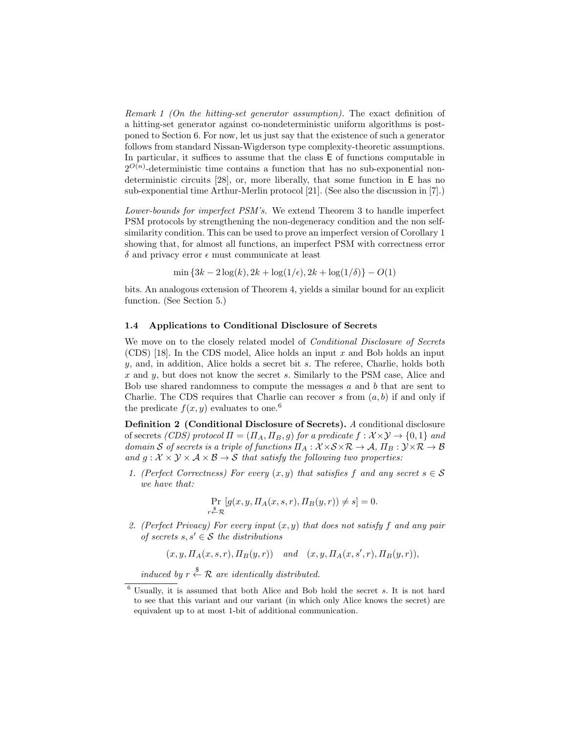Remark 1 (On the hitting-set generator assumption). The exact definition of a hitting-set generator against co-nondeterministic uniform algorithms is postponed to Section 6. For now, let us just say that the existence of such a generator follows from standard Nissan-Wigderson type complexity-theoretic assumptions. In particular, it suffices to assume that the class E of functions computable in  $2^{O(n)}$ -deterministic time contains a function that has no sub-exponential nondeterministic circuits [28], or, more liberally, that some function in E has no sub-exponential time Arthur-Merlin protocol [21]. (See also the discussion in [7].)

Lower-bounds for imperfect PSM's. We extend Theorem 3 to handle imperfect PSM protocols by strengthening the non-degeneracy condition and the non selfsimilarity condition. This can be used to prove an imperfect version of Corollary 1 showing that, for almost all functions, an imperfect PSM with correctness error  $\delta$  and privacy error  $\epsilon$  must communicate at least

 $\min \{3k - 2\log(k), 2k + \log(1/\epsilon), 2k + \log(1/\delta)\} - O(1)$ 

bits. An analogous extension of Theorem 4, yields a similar bound for an explicit function. (See Section 5.)

#### 1.4 Applications to Conditional Disclosure of Secrets

We move on to the closely related model of *Conditional Disclosure of Secrets* (CDS) [18]. In the CDS model, Alice holds an input x and Bob holds an input  $y$ , and, in addition, Alice holds a secret bit  $s$ . The referee, Charlie, holds both  $x$  and  $y$ , but does not know the secret  $s$ . Similarly to the PSM case, Alice and Bob use shared randomness to compute the messages  $a$  and  $b$  that are sent to Charlie. The CDS requires that Charlie can recover s from  $(a, b)$  if and only if the predicate  $f(x, y)$  evaluates to one.<sup>6</sup>

Definition 2 (Conditional Disclosure of Secrets). A conditional disclosure of secrets (CDS) protocol  $\Pi = (\Pi_A, \Pi_B, g)$  for a predicate  $f : \mathcal{X} \times \mathcal{Y} \to \{0, 1\}$  and domain S of secrets is a triple of functions  $\Pi_A: \mathcal{X} \times \mathcal{S} \times \mathcal{R} \to \mathcal{A}, \Pi_B: \mathcal{Y} \times \mathcal{R} \to \mathcal{B}$ and  $g: \mathcal{X} \times \mathcal{Y} \times \mathcal{A} \times \mathcal{B} \rightarrow \mathcal{S}$  that satisfy the following two properties:

1. (Perfect Correctness) For every  $(x, y)$  that satisfies f and any secret  $s \in \mathcal{S}$ we have that:

$$
\Pr_{r \stackrel{k}{\leftarrow} \mathcal{R}}[g(x, y, \Pi_A(x, s, r), \Pi_B(y, r)) \neq s] = 0.
$$

2. (Perfect Privacy) For every input  $(x, y)$  that does not satisfy f and any pair of secrets  $s, s' \in \mathcal{S}$  the distributions

 $(x, y, \Pi_A(x, s, r), \Pi_B(y, r))$  and  $(x, y, \Pi_A(x, s', r), \Pi_B(y, r)),$ 

induced by  $r \stackrel{\$}{\leftarrow} \mathcal{R}$  are identically distributed.

 $6$  Usually, it is assumed that both Alice and Bob hold the secret s. It is not hard to see that this variant and our variant (in which only Alice knows the secret) are equivalent up to at most 1-bit of additional communication.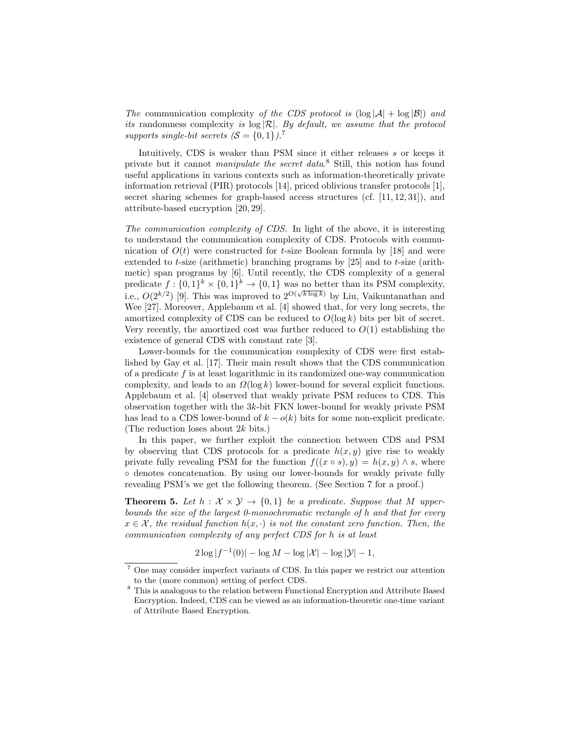The communication complexity of the CDS protocol is  $(\log |\mathcal{A}| + \log |\mathcal{B}|)$  and its randomness complexity is  $log |\mathcal{R}|$ . By default, we assume that the protocol supports single-bit secrets  $(S = \{0, 1\})$ .<sup>7</sup>

Intuitively, CDS is weaker than PSM since it either releases s or keeps it private but it cannot *manipulate the secret data*.<sup>8</sup> Still, this notion has found useful applications in various contexts such as information-theoretically private information retrieval (PIR) protocols [14], priced oblivious transfer protocols [1], secret sharing schemes for graph-based access structures (cf. [11, 12, 31]), and attribute-based encryption [20, 29].

The communication complexity of CDS. In light of the above, it is interesting to understand the communication complexity of CDS. Protocols with communication of  $O(t)$  were constructed for t-size Boolean formula by [18] and were extended to  $t$ -size (arithmetic) branching programs by [25] and to  $t$ -size (arithmetic) span programs by [6]. Until recently, the CDS complexity of a general predicate  $f: \{0,1\}^k \times \{0,1\}^k \to \{0,1\}$  was no better than its PSM complexity, i.e.,  $O(2^{k/2})$  [9]. This was improved to  $2^{O(\sqrt{k \log k})}$  by Liu, Vaikuntanathan and Wee [27]. Moreover, Applebaum et al. [4] showed that, for very long secrets, the amortized complexity of CDS can be reduced to  $O(\log k)$  bits per bit of secret. Very recently, the amortized cost was further reduced to  $O(1)$  establishing the existence of general CDS with constant rate [3].

Lower-bounds for the communication complexity of CDS were first established by Gay et al. [17]. Their main result shows that the CDS communication of a predicate  $f$  is at least logarithmic in its randomized one-way communication complexity, and leads to an  $\Omega(\log k)$  lower-bound for several explicit functions. Applebaum et al. [4] observed that weakly private PSM reduces to CDS. This observation together with the 3k-bit FKN lower-bound for weakly private PSM has lead to a CDS lower-bound of  $k - o(k)$  bits for some non-explicit predicate. (The reduction loses about 2k bits.)

In this paper, we further exploit the connection between CDS and PSM by observing that CDS protocols for a predicate  $h(x, y)$  give rise to weakly private fully revealing PSM for the function  $f((x \circ s), y) = h(x, y) \wedge s$ , where ◦ denotes concatenation. By using our lower-bounds for weakly private fully revealing PSM's we get the following theorem. (See Section 7 for a proof.)

**Theorem 5.** Let  $h : \mathcal{X} \times \mathcal{Y} \rightarrow \{0,1\}$  be a predicate. Suppose that M upperbounds the size of the largest 0-monochromatic rectangle of h and that for every  $x \in \mathcal{X}$ , the residual function  $h(x, \cdot)$  is not the constant zero function. Then, the communication complexity of any perfect CDS for h is at least

$$
2\log|f^{-1}(0)| - \log M - \log|\mathcal{X}| - \log|\mathcal{Y}| - 1,
$$

<sup>7</sup> One may consider imperfect variants of CDS. In this paper we restrict our attention to the (more common) setting of perfect CDS.

<sup>8</sup> This is analogous to the relation between Functional Encryption and Attribute Based Encryption. Indeed, CDS can be viewed as an information-theoretic one-time variant of Attribute Based Encryption.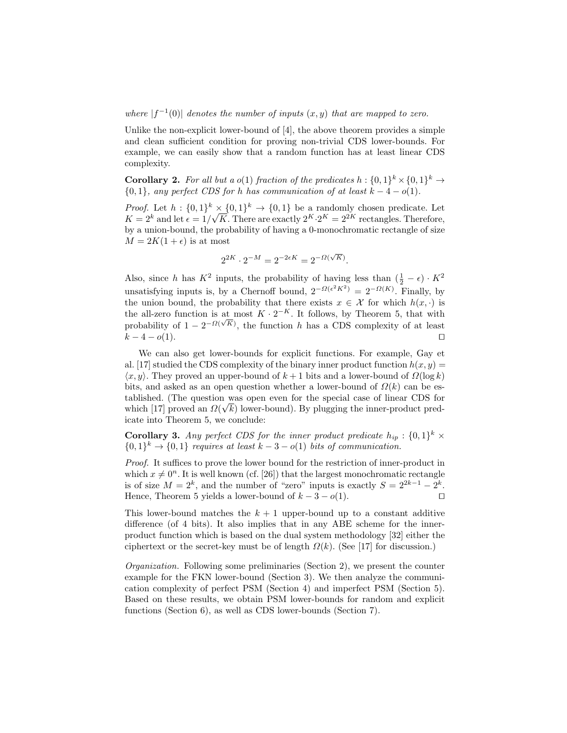where  $|f^{-1}(0)|$  denotes the number of inputs  $(x, y)$  that are mapped to zero.

Unlike the non-explicit lower-bound of [4], the above theorem provides a simple and clean sufficient condition for proving non-trivial CDS lower-bounds. For example, we can easily show that a random function has at least linear CDS complexity.

**Corollary 2.** For all but a  $o(1)$  fraction of the predicates  $h: \{0,1\}^k \times \{0,1\}^k \to$  ${0, 1}$ , any perfect CDS for h has communication of at least  $k - 4 - o(1)$ .

*Proof.* Let  $h : \{0,1\}^k \times \{0,1\}^k \to \{0,1\}$  be a randomly chosen predicate. Let  $K = 2^k$  and let  $\epsilon = 1/\sqrt{K}$ . There are exactly  $2^{K} \cdot 2^{K} = 2^{2K}$  rectangles. Therefore, by a union-bound, the probability of having a 0-monochromatic rectangle of size  $M = 2K(1 + \epsilon)$  is at most

$$
2^{2K} \cdot 2^{-M} = 2^{-2\epsilon K} = 2^{-\Omega(\sqrt{K})}.
$$

Also, since h has  $K^2$  inputs, the probability of having less than  $(\frac{1}{2} - \epsilon) \cdot K^2$ unsatisfying inputs is, by a Chernoff bound,  $2^{-\Omega(\epsilon^2 K^2)} = 2^{-\Omega(K)}$ . Finally, by the union bound, the probability that there exists  $x \in \mathcal{X}$  for which  $h(x, \cdot)$  is the all-zero function is at most  $K \cdot 2^{-K}$ . It follows, by Theorem 5, that with probability of  $1 - 2^{-\Omega(\sqrt{K})}$ , the function h has a CDS complexity of at least  $k - 4 - o(1)$ .

We can also get lower-bounds for explicit functions. For example, Gay et al. [17] studied the CDS complexity of the binary inner product function  $h(x, y) =$  $\langle x, y \rangle$ . They proved an upper-bound of  $k + 1$  bits and a lower-bound of  $\Omega(\log k)$ bits, and asked as an open question whether a lower-bound of  $\Omega(k)$  can be established. (The question was open even for the special case of linear CDS for which [17] proved an  $\Omega(\sqrt{k})$  lower-bound). By plugging the inner-product predicate into Theorem 5, we conclude:

**Corollary 3.** Any perfect CDS for the inner product predicate  $h_{ip}: \{0,1\}^k \times$  $\{0,1\}^k \to \{0,1\}$  requires at least  $k-3-o(1)$  bits of communication.

Proof. It suffices to prove the lower bound for the restriction of inner-product in which  $x \neq 0^n$ . It is well known (cf. [26]) that the largest monochromatic rectangle is of size  $M = 2^k$ , and the number of "zero" inputs is exactly  $S = 2^{2k-1} - 2^k$ . Hence, Theorem 5 yields a lower-bound of  $k - 3 - o(1)$ .

This lower-bound matches the  $k + 1$  upper-bound up to a constant additive difference (of 4 bits). It also implies that in any ABE scheme for the innerproduct function which is based on the dual system methodology [32] either the ciphertext or the secret-key must be of length  $\Omega(k)$ . (See [17] for discussion.)

Organization. Following some preliminaries (Section 2), we present the counter example for the FKN lower-bound (Section 3). We then analyze the communication complexity of perfect PSM (Section 4) and imperfect PSM (Section 5). Based on these results, we obtain PSM lower-bounds for random and explicit functions (Section 6), as well as CDS lower-bounds (Section 7).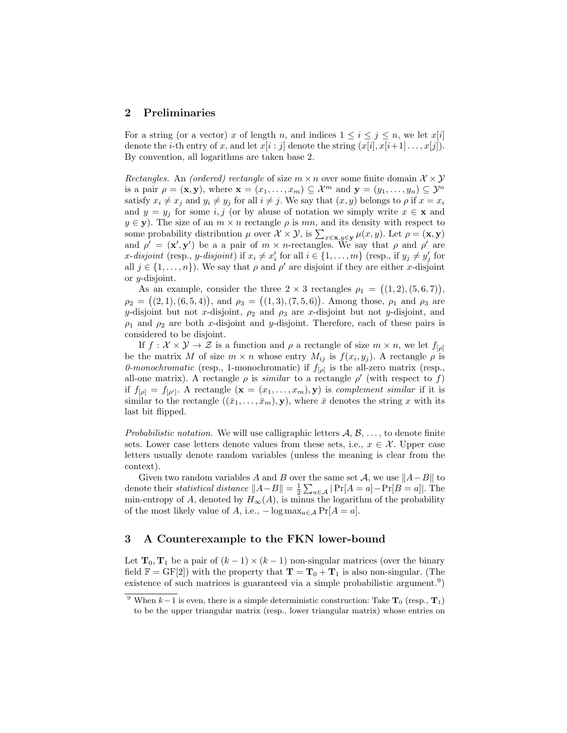## 2 Preliminaries

For a string (or a vector) x of length n, and indices  $1 \leq i \leq j \leq n$ , we let  $x[i]$ denote the *i*-th entry of x, and let  $x[i : j]$  denote the string  $(x[i], x[i+1] \ldots, x[j])$ . By convention, all logarithms are taken base 2.

Rectangles. An (ordered) rectangle of size  $m \times n$  over some finite domain  $\mathcal{X} \times \mathcal{Y}$ is a pair  $\rho = (\mathbf{x}, \mathbf{y})$ , where  $\mathbf{x} = (x_1, \dots, x_m) \subseteq \mathcal{X}^m$  and  $\mathbf{y} = (y_1, \dots, y_n) \subseteq \mathcal{Y}^n$ satisfy  $x_i \neq x_j$  and  $y_i \neq y_j$  for all  $i \neq j$ . We say that  $(x, y)$  belongs to  $\rho$  if  $x = x_i$ and  $y = y_j$  for some i, j (or by abuse of notation we simply write  $x \in \mathbf{x}$  and  $y \in \mathbf{y}$ ). The size of an  $m \times n$  rectangle  $\rho$  is  $mn$ , and its density with respect to some probability distribution  $\mu$  over  $\mathcal{X} \times \mathcal{Y}$ , is  $\sum_{x \in \mathbf{x}, y \in \mathbf{y}} \mu(x, y)$ . Let  $\rho = (\mathbf{x}, \mathbf{y})$ and  $\rho' = (\mathbf{x}', \mathbf{y}')$  be a a pair of  $m \times n$ -rectangles. We say that  $\rho$  and  $\rho'$  are x-disjoint (resp., y-disjoint) if  $x_i \neq x'_i$  for all  $i \in \{1, \ldots, m\}$  (resp., if  $y_j \neq y'_j$  for all  $j \in \{1, \ldots, n\}$ . We say that  $\rho$  and  $\rho'$  are disjoint if they are either x-disjoint or y-disjoint.

As an example, consider the three  $2 \times 3$  rectangles  $\rho_1 = ((1, 2), (5, 6, 7)),$  $\rho_2 = ((2,1),(6,5,4)),$  and  $\rho_3 = ((1,3),(7,5,6)).$  Among those,  $\rho_1$  and  $\rho_3$  are y-disjoint but not x-disjoint,  $\rho_2$  and  $\rho_3$  are x-disjoint but not y-disjoint, and  $\rho_1$  and  $\rho_2$  are both x-disjoint and y-disjoint. Therefore, each of these pairs is considered to be disjoint.

If  $f: \mathcal{X} \times \mathcal{Y} \to \mathcal{Z}$  is a function and  $\rho$  a rectangle of size  $m \times n$ , we let  $f_{[\rho]}$ be the matrix M of size  $m \times n$  whose entry  $M_{ij}$  is  $f(x_i, y_j)$ . A rectangle  $\rho$  is 0-monochromatic (resp., 1-monochromatic) if  $f_{[\rho]}$  is the all-zero matrix (resp., all-one matrix). A rectangle  $\rho$  is *similar* to a rectangle  $\rho'$  (with respect to f) if  $f_{[\rho]} = f_{[\rho']}$ . A rectangle  $(\mathbf{x} = (x_1, \ldots, x_m), \mathbf{y})$  is complement similar if it is similar to the rectangle  $((\bar{x}_1, \ldots, \bar{x}_m), \mathbf{y})$ , where  $\bar{x}$  denotes the string x with its last bit flipped.

Probabilistic notation. We will use calligraphic letters  $A, B, \ldots$ , to denote finite sets. Lower case letters denote values from these sets, i.e.,  $x \in \mathcal{X}$ . Upper case letters usually denote random variables (unless the meaning is clear from the context).

Given two random variables A and B over the same set A, we use  $||A-B||$  to denote their *statistical distance*  $||A-B|| = \frac{1}{2} \sum_{a \in A} |Pr[A = a] - Pr[B = a]|$ . The min-entropy of A, denoted by  $H_{\infty}(A)$ , is minus the logarithm of the probability of the most likely value of A, i.e.,  $-\log \max_{a \in \mathcal{A}} \Pr[A = a].$ 

### 3 A Counterexample to the FKN lower-bound

Let  $\mathbf{T}_0$ ,  $\mathbf{T}_1$  be a pair of  $(k-1) \times (k-1)$  non-singular matrices (over the binary field  $\mathbb{F} = \text{GF}(2)$ ) with the property that  $\mathbf{T} = \mathbf{T}_0 + \mathbf{T}_1$  is also non-singular. (The existence of such matrices is guaranteed via a simple probabilistic argument.<sup>9</sup>)

<sup>&</sup>lt;sup>9</sup> When  $k-1$  is even, there is a simple deterministic construction: Take  $T_0$  (resp.,  $T_1$ ) to be the upper triangular matrix (resp., lower triangular matrix) whose entries on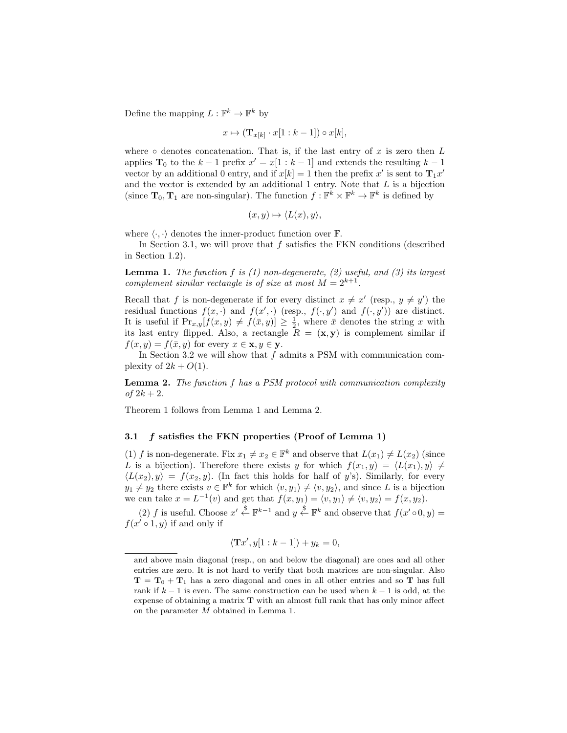Define the mapping  $L: \mathbb{F}^k \to \mathbb{F}^k$  by

$$
x \mapsto (\mathbf{T}_{x[k]} \cdot x[1:k-1]) \circ x[k],
$$

where  $\circ$  denotes concatenation. That is, if the last entry of x is zero then L applies  $\mathbf{T}_0$  to the  $k-1$  prefix  $x' = x[1 : k-1]$  and extends the resulting  $k-1$ vector by an additional 0 entry, and if  $x[k] = 1$  then the prefix  $x'$  is sent to  $\mathbf{T}_1 x'$ and the vector is extended by an additional  $1$  entry. Note that  $L$  is a bijection (since  $\mathbf{T}_0, \mathbf{T}_1$  are non-singular). The function  $f : \mathbb{F}^k \times \mathbb{F}^k \to \mathbb{F}^k$  is defined by

$$
(x, y) \mapsto \langle L(x), y \rangle,
$$

where  $\langle \cdot, \cdot \rangle$  denotes the inner-product function over F.

In Section 3.1, we will prove that  $f$  satisfies the FKN conditions (described in Section 1.2).

**Lemma 1.** The function f is  $(1)$  non-degenerate,  $(2)$  useful, and  $(3)$  its largest complement similar rectangle is of size at most  $M = 2^{k+1}$ .

Recall that f is non-degenerate if for every distinct  $x \neq x'$  (resp.,  $y \neq y'$ ) the residual functions  $f(x, \cdot)$  and  $f(x', \cdot)$  (resp.,  $f(\cdot, y')$  and  $f(\cdot, y')$ ) are distinct. It is useful if  $Pr_{x,y}[f(x,y) \neq f(\bar{x}, y)] \geq \frac{1}{2}$ , where  $\bar{x}$  denotes the string x with its last entry flipped. Also, a rectangle  $R = (\mathbf{x}, \mathbf{y})$  is complement similar if  $f(x, y) = f(\bar{x}, y)$  for every  $x \in \mathbf{x}, y \in \mathbf{y}$ .

In Section 3.2 we will show that  $f$  admits a PSM with communication complexity of  $2k + O(1)$ .

Lemma 2. The function f has a PSM protocol with communication complexity  $of 2k + 2.$ 

Theorem 1 follows from Lemma 1 and Lemma 2.

#### 3.1 f satisfies the FKN properties (Proof of Lemma 1)

(1) f is non-degenerate. Fix  $x_1 \neq x_2 \in \mathbb{F}^k$  and observe that  $L(x_1) \neq L(x_2)$  (since L is a bijection). Therefore there exists y for which  $f(x_1, y) = \langle L(x_1), y \rangle \neq$  $\langle L(x_2), y \rangle = f(x_2, y)$ . (In fact this holds for half of y's). Similarly, for every  $y_1 \neq y_2$  there exists  $v \in \mathbb{F}^k$  for which  $\langle v, y_1 \rangle \neq \langle v, y_2 \rangle$ , and since L is a bijection we can take  $x = L^{-1}(v)$  and get that  $f(x, y_1) = \langle v, y_1 \rangle \neq \langle v, y_2 \rangle = f(x, y_2)$ .

(2) f is useful. Choose  $x' \stackrel{\$}{\leftarrow} \mathbb{F}^{k-1}$  and  $y \stackrel{\$}{\leftarrow} \mathbb{F}^k$  and observe that  $f(x' \circ 0, y) =$  $f(x' \circ 1, y)$  if and only if

$$
\langle \mathbf{T}x', y[1:k-1] \rangle + y_k = 0,
$$

and above main diagonal (resp., on and below the diagonal) are ones and all other entries are zero. It is not hard to verify that both matrices are non-singular. Also  $T = T_0 + T_1$  has a zero diagonal and ones in all other entries and so T has full rank if  $k - 1$  is even. The same construction can be used when  $k - 1$  is odd, at the expense of obtaining a matrix T with an almost full rank that has only minor affect on the parameter M obtained in Lemma 1.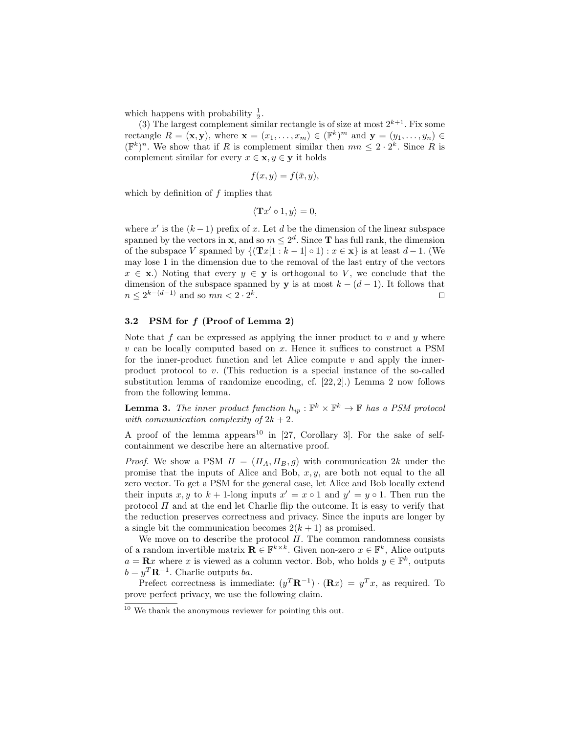which happens with probability  $\frac{1}{2}$ .

(3) The largest complement similar rectangle is of size at most  $2^{k+1}$ . Fix some rectangle  $R = (\mathbf{x}, \mathbf{y})$ , where  $\mathbf{x} = (x_1, \dots, x_m) \in (\mathbb{F}^k)^m$  and  $\mathbf{y} = (y_1, \dots, y_n) \in$  $(\mathbb{F}^k)^n$ . We show that if R is complement similar then  $mn \leq 2 \cdot 2^k$ . Since R is complement similar for every  $x \in \mathbf{x}, y \in \mathbf{y}$  it holds

$$
f(x,y) = f(\bar{x},y),
$$

which by definition of  $f$  implies that

$$
\langle \mathbf{T}x' \circ 1, y \rangle = 0,
$$

where  $x'$  is the  $(k-1)$  prefix of x. Let d be the dimension of the linear subspace spanned by the vectors in **x**, and so  $m \leq 2^d$ . Since **T** has full rank, the dimension of the subspace V spanned by  $\{(\mathbf{T}x[1:k-1] \circ 1) : x \in \mathbf{x}\}\)$  is at least  $d-1$ . (We may lose 1 in the dimension due to the removal of the last entry of the vectors  $x \in \mathbf{x}$ .) Noting that every  $y \in \mathbf{y}$  is orthogonal to V, we conclude that the dimension of the subspace spanned by y is at most  $k - (d - 1)$ . It follows that  $n \leq 2^{k-(d-1)}$  and so  $mn < 2 \cdot 2^k$ . The contract of the contract of the contract of the contract of the contract of the contract of the contract of the contract of the contract of the contract of the contract of the contract of the contract of the contract

## 3.2 PSM for f (Proof of Lemma 2)

Note that f can be expressed as applying the inner product to  $v$  and  $y$  where  $v$  can be locally computed based on  $x$ . Hence it suffices to construct a PSM for the inner-product function and let Alice compute  $v$  and apply the innerproduct protocol to v. (This reduction is a special instance of the so-called substitution lemma of randomize encoding, cf. [22, 2].) Lemma 2 now follows from the following lemma.

**Lemma 3.** The inner product function  $h_{ip} : \mathbb{F}^k \times \mathbb{F}^k \to \mathbb{F}$  has a PSM protocol with communication complexity of  $2k + 2$ .

A proof of the lemma appears<sup>10</sup> in [27, Corollary 3]. For the sake of selfcontainment we describe here an alternative proof.

*Proof.* We show a PSM  $\Pi = (\Pi_A, \Pi_B, g)$  with communication 2k under the promise that the inputs of Alice and Bob,  $x, y$ , are both not equal to the all zero vector. To get a PSM for the general case, let Alice and Bob locally extend their inputs x, y to  $k + 1$ -long inputs  $x' = x \circ 1$  and  $y' = y \circ 1$ . Then run the protocol  $\Pi$  and at the end let Charlie flip the outcome. It is easy to verify that the reduction preserves correctness and privacy. Since the inputs are longer by a single bit the communication becomes  $2(k+1)$  as promised.

We move on to describe the protocol  $\Pi$ . The common randomness consists of a random invertible matrix  $\mathbf{R} \in \mathbb{F}^{k \times k}$ . Given non-zero  $x \in \mathbb{F}^k$ , Alice outputs  $a = \mathbf{R}x$  where x is viewed as a column vector. Bob, who holds  $y \in \mathbb{F}^k$ , outputs  $b = y^T \mathbf{R}^{-1}$ . Charlie outputs ba.

Prefect correctness is immediate:  $(y^T \mathbf{R}^{-1}) \cdot (\mathbf{R}x) = y^T x$ , as required. To prove perfect privacy, we use the following claim.

<sup>&</sup>lt;sup>10</sup> We thank the anonymous reviewer for pointing this out.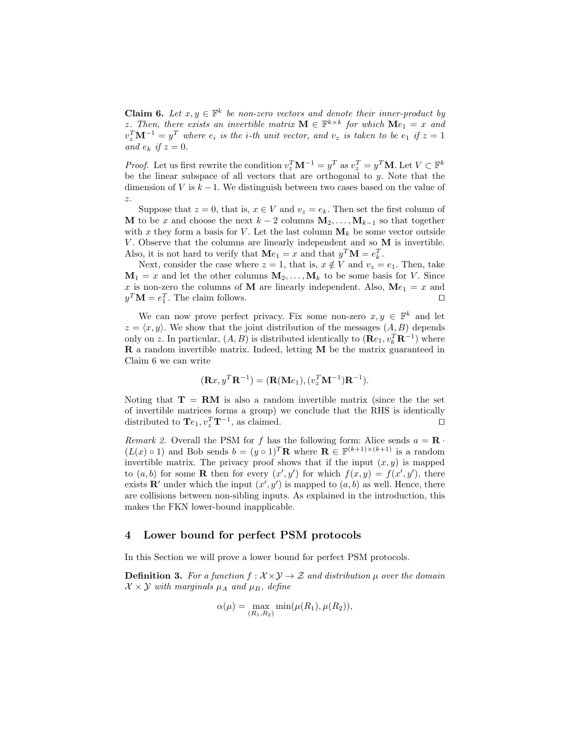**Claim 6.** Let  $x, y \in \mathbb{F}^k$  be non-zero vectors and denote their inner-product by z. Then, there exists an invertible matrix  $\mathbf{M} \in \mathbb{F}^{k \times k}$  for which  $\mathbf{M}e_1 = x$  and  $v_z^T \mathbf{M}^{-1} = y^T$  where  $e_i$  is the i-th unit vector, and  $v_z$  is taken to be  $e_1$  if  $z = 1$ and  $e_k$  if  $z = 0$ .

*Proof.* Let us first rewrite the condition  $v_z^T \mathbf{M}^{-1} = y^T$  as  $v_z^T = y^T \mathbf{M}$ . Let  $V \subset \mathbb{F}^k$ be the linear subspace of all vectors that are orthogonal to  $y$ . Note that the dimension of V is  $k - 1$ . We distinguish between two cases based on the value of z.

Suppose that  $z = 0$ , that is,  $x \in V$  and  $v_z = e_k$ . Then set the first column of M to be x and choose the next  $k-2$  columns  $M_2, \ldots, M_{k-1}$  so that together with x they form a basis for V. Let the last column  $M_k$  be some vector outside  $V$ . Observe that the columns are linearly independent and so  $M$  is invertible. Also, it is not hard to verify that  $\mathbf{M}e_1 = x$  and that  $y^T \mathbf{M} = e_k^T$ .

Next, consider the case where  $z = 1$ , that is,  $x \notin V$  and  $v_z = e_1$ . Then, take  $M_1 = x$  and let the other columns  $M_2, \ldots, M_k$  to be some basis for V. Since x is non-zero the columns of M are linearly independent. Also,  $Me<sub>1</sub> = x$  and  $y^T \mathbf{M} = e_1^T$ . The claim follows.

We can now prove perfect privacy. Fix some non-zero  $x, y \in \mathbb{F}^k$  and let  $z = \langle x, y \rangle$ . We show that the joint distribution of the messages  $(A, B)$  depends only on z. In particular,  $(A, B)$  is distributed identically to  $(\mathbf{R}e_1, v_b^T \mathbf{R}^{-1})$  where R a random invertible matrix. Indeed, letting M be the matrix guaranteed in Claim 6 we can write

$$
(\mathbf{R}x, y^T \mathbf{R}^{-1}) = (\mathbf{R}(\mathbf{M}e_1), (v_z^T \mathbf{M}^{-1}) \mathbf{R}^{-1}).
$$

Noting that  $T = RM$  is also a random invertible matrix (since the the set of invertible matrices forms a group) we conclude that the RHS is identically distributed to  $\mathbf{T}e_1, v_\text{z}^T \mathbf{T}^{-1}$ , as claimed.

Remark 2. Overall the PSM for f has the following form: Alice sends  $a = \mathbf{R} \cdot$  $(L(x) \circ 1)$  and Bob sends  $b = (y \circ 1)^T \mathbf{R}$  where  $\mathbf{R} \in \mathbb{F}^{(k+1)\times (k+1)}$  is a random invertible matrix. The privacy proof shows that if the input  $(x, y)$  is mapped to  $(a, b)$  for some **R** then for every  $(x', y')$  for which  $f(x, y) = f(x', y')$ , there exists **R'** under which the input  $(x', y')$  is mapped to  $(a, b)$  as well. Hence, there are collisions between non-sibling inputs. As explained in the introduction, this makes the FKN lower-bound inapplicable.

## 4 Lower bound for perfect PSM protocols

In this Section we will prove a lower bound for perfect PSM protocols.

**Definition 3.** For a function  $f : \mathcal{X} \times \mathcal{Y} \rightarrow \mathcal{Z}$  and distribution  $\mu$  over the domain  $X \times Y$  with marginals  $\mu_A$  and  $\mu_B$ , define

$$
\alpha(\mu) = \max_{(R_1, R_2)} \min(\mu(R_1), \mu(R_2)),
$$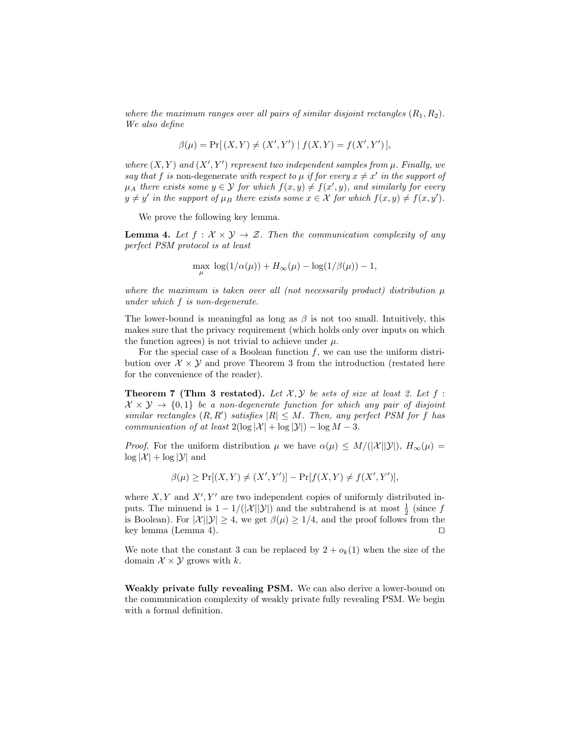where the maximum ranges over all pairs of similar disjoint rectangles  $(R_1, R_2)$ . We also define

$$
\beta(\mu) = \Pr[(X, Y) \neq (X', Y') | f(X, Y) = f(X', Y')],
$$

where  $(X, Y)$  and  $(X', Y')$  represent two independent samples from  $\mu$ . Finally, we say that f is non-degenerate with respect to  $\mu$  if for every  $x \neq x'$  in the support of  $\mu_A$  there exists some  $y \in \mathcal{Y}$  for which  $f(x, y) \neq f(x', y)$ , and similarly for every  $y \neq y'$  in the support of  $\mu_B$  there exists some  $x \in \mathcal{X}$  for which  $f(x, y) \neq f(x, y')$ .

We prove the following key lemma.

**Lemma 4.** Let  $f : \mathcal{X} \times \mathcal{Y} \rightarrow \mathcal{Z}$ . Then the communication complexity of any perfect PSM protocol is at least

$$
\max_{\mu} \log(1/\alpha(\mu)) + H_{\infty}(\mu) - \log(1/\beta(\mu)) - 1,
$$

where the maximum is taken over all (not necessarily product) distribution  $\mu$ under which f is non-degenerate.

The lower-bound is meaningful as long as  $\beta$  is not too small. Intuitively, this makes sure that the privacy requirement (which holds only over inputs on which the function agrees) is not trivial to achieve under  $\mu$ .

For the special case of a Boolean function  $f$ , we can use the uniform distribution over  $X \times Y$  and prove Theorem 3 from the introduction (restated here for the convenience of the reader).

**Theorem 7 (Thm 3 restated).** Let  $\mathcal{X}, \mathcal{Y}$  be sets of size at least 2. Let f:  $\mathcal{X} \times \mathcal{Y} \rightarrow \{0,1\}$  be a non-degenerate function for which any pair of disjoint similar rectangles  $(R, R')$  satisfies  $|R| \leq M$ . Then, any perfect PSM for f has communication of at least  $2(\log |\mathcal{X}| + \log |\mathcal{Y}|) - \log M - 3$ .

*Proof.* For the uniform distribution  $\mu$  we have  $\alpha(\mu) \leq M/(|\mathcal{X}||\mathcal{Y}|), H_{\infty}(\mu) =$  $\log |\mathcal{X}| + \log |\mathcal{Y}|$  and

$$
\beta(\mu) \ge \Pr[(X, Y) \ne (X', Y')] - \Pr[f(X, Y) \ne f(X', Y')],
$$

where  $X, Y$  and  $X', Y'$  are two independent copies of uniformly distributed inputs. The minuend is  $1 - 1/(|\mathcal{X}||\mathcal{Y}|)$  and the subtrahend is at most  $\frac{1}{2}$  (since f is Boolean). For  $|\mathcal{X}||\mathcal{Y}| \geq 4$ , we get  $\beta(\mu) \geq 1/4$ , and the proof follows from the key lemma (Lemma 4).  $\Box$ 

We note that the constant 3 can be replaced by  $2 + o_k(1)$  when the size of the domain  $\mathcal{X} \times \mathcal{Y}$  grows with k.

Weakly private fully revealing PSM. We can also derive a lower-bound on the communication complexity of weakly private fully revealing PSM. We begin with a formal definition.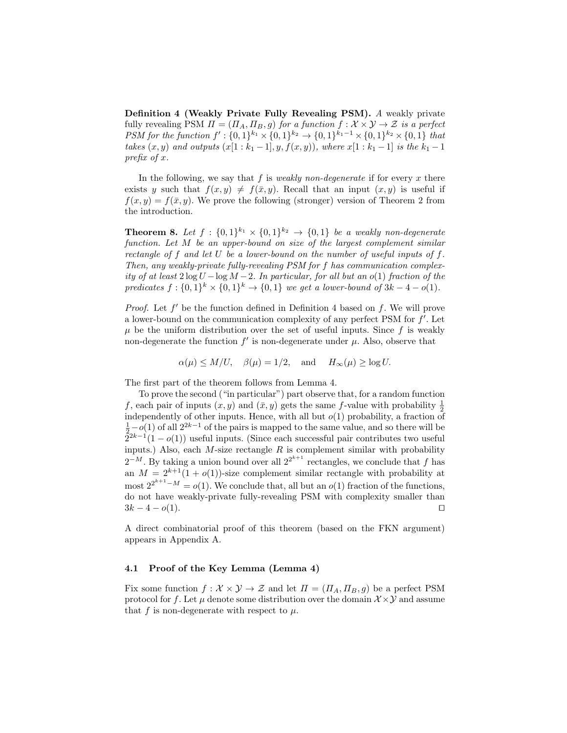Definition 4 (Weakly Private Fully Revealing PSM). A weakly private fully revealing PSM  $\Pi = (\Pi_A, \Pi_B, g)$  for a function  $f : \mathcal{X} \times \mathcal{Y} \to \mathcal{Z}$  is a perfect PSM for the function  $f' : \{0,1\}^{k_1} \times \{0,1\}^{k_2} \rightarrow \{0,1\}^{k_1-1} \times \{0,1\}^{k_2} \times \{0,1\}$  that takes  $(x, y)$  and outputs  $(x[1 : k_1 - 1], y, f(x, y))$ , where  $x[1 : k_1 - 1]$  is the  $k_1 - 1$ prefix of x.

In the following, we say that f is *weakly non-degenerate* if for every x there exists y such that  $f(x, y) \neq f(\bar{x}, y)$ . Recall that an input  $(x, y)$  is useful if  $f(x, y) = f(\bar{x}, y)$ . We prove the following (stronger) version of Theorem 2 from the introduction.

**Theorem 8.** Let  $f : \{0,1\}^{k_1} \times \{0,1\}^{k_2} \rightarrow \{0,1\}$  be a weakly non-degenerate function. Let M be an upper-bound on size of the largest complement similar rectangle of  $f$  and let  $U$  be a lower-bound on the number of useful inputs of  $f$ . Then, any weakly-private fully-revealing PSM for f has communication complexity of at least  $2 \log U - \log M - 2$ . In particular, for all but an o(1) fraction of the predicates  $f: \{0,1\}^k \times \{0,1\}^k \rightarrow \{0,1\}$  we get a lower-bound of  $3k-4-o(1)$ .

*Proof.* Let  $f'$  be the function defined in Definition 4 based on  $f$ . We will prove a lower-bound on the communication complexity of any perfect PSM for  $f'$ . Let  $\mu$  be the uniform distribution over the set of useful inputs. Since f is weakly non-degenerate the function  $f'$  is non-degenerate under  $\mu$ . Also, observe that

 $\alpha(\mu) \leq M/U$ ,  $\beta(\mu) = 1/2$ , and  $H_{\infty}(\mu) \geq \log U$ .

The first part of the theorem follows from Lemma 4.

To prove the second ("in particular") part observe that, for a random function f, each pair of inputs  $(x, y)$  and  $(\bar{x}, y)$  gets the same f-value with probability  $\frac{1}{2}$ independently of other inputs. Hence, with all but  $o(1)$  probability, a fraction of  $\frac{1}{2}$  −o(1) of all  $2^{2k-1}$  of the pairs is mapped to the same value, and so there will be  $2^{2k-1}(1-o(1))$  useful inputs. (Since each successful pair contributes two useful inputs.) Also, each  $M$ -size rectangle  $R$  is complement similar with probability  $2^{-M}$ . By taking a union bound over all  $2^{2^{k+1}}$  rectangles, we conclude that f has an  $M = 2^{k+1}(1+o(1))$ -size complement similar rectangle with probability at most  $2^{2^{k+1}-M} = o(1)$ . We conclude that, all but an  $o(1)$  fraction of the functions, do not have weakly-private fully-revealing PSM with complexity smaller than  $3k - 4 - o(1)$ .

A direct combinatorial proof of this theorem (based on the FKN argument) appears in Appendix A.

#### 4.1 Proof of the Key Lemma (Lemma 4)

Fix some function  $f: \mathcal{X} \times \mathcal{Y} \to \mathcal{Z}$  and let  $\Pi = (\Pi_A, \Pi_B, g)$  be a perfect PSM protocol for f. Let  $\mu$  denote some distribution over the domain  $\mathcal{X} \times \mathcal{Y}$  and assume that f is non-degenerate with respect to  $\mu$ .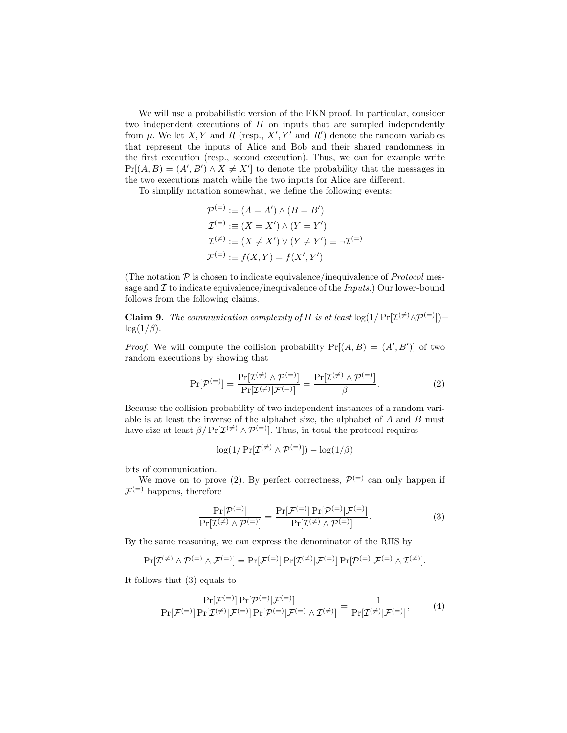We will use a probabilistic version of the FKN proof. In particular, consider two independent executions of  $\Pi$  on inputs that are sampled independently from  $\mu$ . We let X, Y and R (resp., X', Y' and R') denote the random variables that represent the inputs of Alice and Bob and their shared randomness in the first execution (resp., second execution). Thus, we can for example write  $Pr[(A, B) = (A', B') \wedge X \neq X']$  to denote the probability that the messages in the two executions match while the two inputs for Alice are different.

To simplify notation somewhat, we define the following events:

$$
\mathcal{P}^{(=)} \coloneqq (A = A') \land (B = B')
$$
  
\n
$$
\mathcal{I}^{(=)} \coloneqq (X = X') \land (Y = Y')
$$
  
\n
$$
\mathcal{I}^{(\neq)} \coloneqq (X \neq X') \lor (Y \neq Y') \equiv \neg \mathcal{I}^{(=)}
$$
  
\n
$$
\mathcal{F}^{(=)} \coloneqq f(X, Y) = f(X', Y')
$$

(The notation  $P$  is chosen to indicate equivalence/inequivalence of *Protocol* message and  $\mathcal I$  to indicate equivalence/inequivalence of the *Inputs*.) Our lower-bound follows from the following claims.

**Claim 9.** The communication complexity of  $\Pi$  is at least  $\log(1/\Pr[\mathcal{I}^{(\neq)} \wedge \mathcal{P}^{(=)}])$  $\log(1/\beta)$ .

*Proof.* We will compute the collision probability  $Pr[(A, B) = (A', B')]$  of two random executions by showing that

$$
\Pr[\mathcal{P}^{(=)}] = \frac{\Pr[\mathcal{I}^{(\neq)} \land \mathcal{P}^{(=)}]}{\Pr[\mathcal{I}^{(\neq)} | \mathcal{F}^{(=)}]} = \frac{\Pr[\mathcal{I}^{(\neq)} \land \mathcal{P}^{(=)}]}{\beta}.
$$
\n(2)

Because the collision probability of two independent instances of a random variable is at least the inverse of the alphabet size, the alphabet of A and B must have size at least  $\beta$  Pr[ $\mathcal{I}^{(\neq)} \wedge \mathcal{P}^{(=)}$ ]. Thus, in total the protocol requires

$$
\log(1/\Pr[\mathcal{I}^{(\neq)} \wedge \mathcal{P}^{(=)}]) - \log(1/\beta)
$$

bits of communication.

We move on to prove (2). By perfect correctness,  $\mathcal{P}^{(=)}$  can only happen if  $\mathcal{F}^{(=)}$  happens, therefore

$$
\frac{\Pr[\mathcal{P}^{(=)}]}{\Pr[\mathcal{I}^{(\neq)} \land \mathcal{P}^{(=)}]} = \frac{\Pr[\mathcal{F}^{(=)}] \Pr[\mathcal{P}^{(=)} | \mathcal{F}^{(=)}]}{\Pr[\mathcal{I}^{(\neq)} \land \mathcal{P}^{(=)}]}.
$$
\n(3)

By the same reasoning, we can express the denominator of the RHS by

$$
\Pr[\mathcal{I}^{(\neq)} \wedge \mathcal{P}^{(=)} \wedge \mathcal{F}^{(=)}] = \Pr[\mathcal{F}^{(=)}] \Pr[\mathcal{I}^{(\neq)} | \mathcal{F}^{(=)}] \Pr[\mathcal{P}^{(=)} | \mathcal{F}^{(=)} \wedge \mathcal{I}^{(\neq)}].
$$

It follows that (3) equals to

$$
\frac{\Pr[\mathcal{F}^{(=)}] \Pr[\mathcal{P}^{(=)} | \mathcal{F}^{(=)}]}{\Pr[\mathcal{F}^{(=)}] \Pr[\mathcal{I}^{(\ne)} | \mathcal{F}^{(=)}] \Pr[\mathcal{P}^{(=)} | \mathcal{F}^{(=)} | \mathcal{F}^{(=)}]} = \frac{1}{\Pr[\mathcal{I}^{(\ne)} | \mathcal{F}^{(=)}]} ,\tag{4}
$$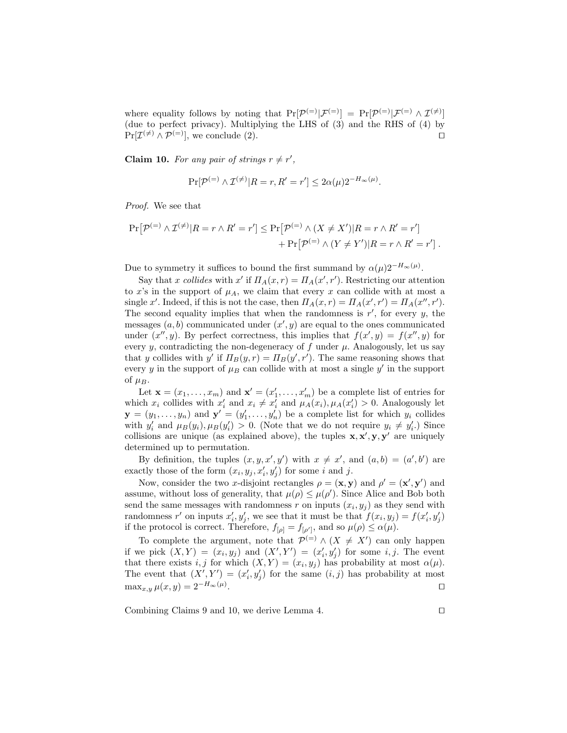where equality follows by noting that  $Pr[\mathcal{P}^{(=)}|\mathcal{F}^{(=)}] = Pr[\mathcal{P}^{(=)}|\mathcal{F}^{(=)} \wedge \mathcal{I}^{(\neq)}]$ (due to perfect privacy). Multiplying the LHS of (3) and the RHS of (4) by  $\Pr[\mathcal{I}^{(\neq)} \wedge \mathcal{P}^{(=)}],$  we conclude (2).

**Claim 10.** For any pair of strings  $r \neq r'$ ,

$$
\Pr[\mathcal{P}^{(=)} \wedge \mathcal{I}^{(\neq)} | R = r, R' = r'] \le 2\alpha(\mu)2^{-H_{\infty}(\mu)}
$$

.

Proof. We see that

$$
\Pr[\mathcal{P}^{(=)} \wedge \mathcal{I}^{(\neq)} | R = r \wedge R' = r'] \le \Pr[\mathcal{P}^{(=)} \wedge (X \neq X') | R = r \wedge R' = r'] + \Pr[\mathcal{P}^{(=)} \wedge (Y \neq Y') | R = r \wedge R' = r'] .
$$

Due to symmetry it suffices to bound the first summand by  $\alpha(\mu)2^{-H_{\infty}(\mu)}$ .

Say that x collides with x' if  $\Pi_A(x,r) = \Pi_A(x',r')$ . Restricting our attention to x's in the support of  $\mu_A$ , we claim that every x can collide with at most a single x'. Indeed, if this is not the case, then  $\Pi_A(x,r) = \Pi_A(x',r') = \Pi_A(x'',r')$ . The second equality implies that when the randomness is  $r'$ , for every  $y$ , the messages  $(a, b)$  communicated under  $(x', y)$  are equal to the ones communicated under  $(x'', y)$ . By perfect correctness, this implies that  $f(x', y) = f(x'', y)$  for every y, contradicting the non-degeneracy of f under  $\mu$ . Analogously, let us say that y collides with y' if  $\Pi_B(y, r) = \Pi_B(y', r')$ . The same reasoning shows that every y in the support of  $\mu_B$  can collide with at most a single y' in the support of  $\mu_B$ .

Let  $\mathbf{x} = (x_1, \dots, x_m)$  and  $\mathbf{x}' = (x'_1, \dots, x'_m)$  be a complete list of entries for which  $x_i$  collides with  $x'_i$  and  $x_i \neq x'_i$  and  $\mu_A(x_i), \mu_A(x'_i) > 0$ . Analogously let  $\mathbf{y} = (y_1, \dots, y_n)$  and  $\mathbf{y}' = (y'_1, \dots, y'_n)$  be a complete list for which  $y_i$  collides with  $y'_i$  and  $\mu_B(y_i), \mu_B(y'_i) > 0$ . (Note that we do not require  $y_i \neq y'_i$ .) Since collisions are unique (as explained above), the tuples  $x, x', y, y'$  are uniquely determined up to permutation.

By definition, the tuples  $(x, y, x', y')$  with  $x \neq x'$ , and  $(a, b) = (a', b')$  are exactly those of the form  $(x_i, y_j, x'_i, y'_j)$  for some i and j.

Now, consider the two x-disjoint rectangles  $\rho = (\mathbf{x}, \mathbf{y})$  and  $\rho' = (\mathbf{x}', \mathbf{y}')$  and assume, without loss of generality, that  $\mu(\rho) \leq \mu(\rho')$ . Since Alice and Bob both send the same messages with randomness r on inputs  $(x_i, y_j)$  as they send with randomness r' on inputs  $x'_i, y'_j$ , we see that it must be that  $f(x_i, y_j) = f(x'_i, y'_j)$ if the protocol is correct. Therefore,  $f_{[\rho]} = f_{[\rho']}$ , and so  $\mu(\rho) \leq \alpha(\mu)$ .

To complete the argument, note that  $\mathcal{P}^{(=)} \wedge (X \neq X')$  can only happen if we pick  $(X,Y) = (x_i, y_j)$  and  $(X', Y') = (x'_i, y'_j)$  for some  $i, j$ . The event that there exists i, j for which  $(X, Y) = (x_i, y_j)$  has probability at most  $\alpha(\mu)$ . The event that  $(X', Y') = (x'_i, y'_j)$  for the same  $(i, j)$  has probability at most  $\max_{x,y} \mu(x,y) = 2^{-H_{\infty}(\mu)}$ . . The contract of the contract of the contract of the contract of the contract of the contract of the contract of the contract of the contract of the contract of the contract of the contract of the contract of the contract

Combining Claims 9 and 10, we derive Lemma 4.  $\Box$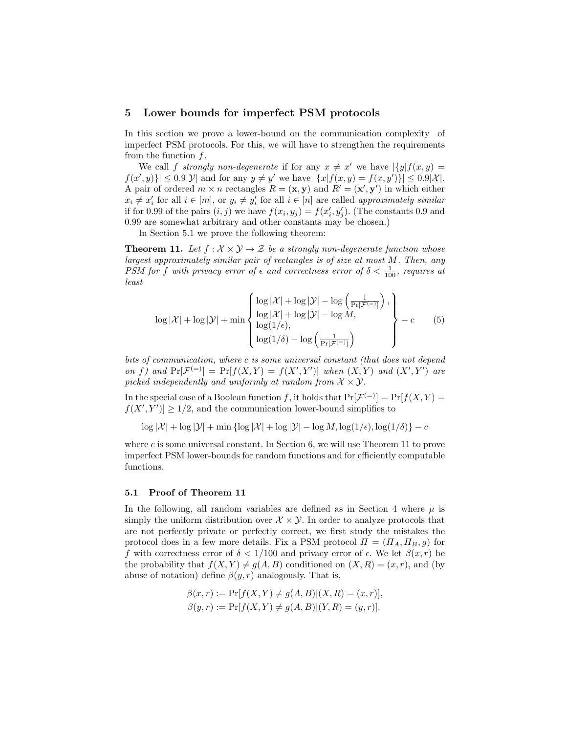### 5 Lower bounds for imperfect PSM protocols

In this section we prove a lower-bound on the communication complexity of imperfect PSM protocols. For this, we will have to strengthen the requirements from the function  $f$ .

We call f strongly non-degenerate if for any  $x \neq x'$  we have  $|\{y|f(x,y) =$  $f(x', y)$ |  $\leq 0.9|\mathcal{Y}|$  and for any  $y \neq y'$  we have  $|\{x | f(x, y) = f(x, y')\}| \leq 0.9|\mathcal{X}|$ . A pair of ordered  $m \times n$  rectangles  $R = (\mathbf{x}, \mathbf{y})$  and  $R' = (\mathbf{x}', \mathbf{y}')$  in which either  $x_i \neq x'_i$  for all  $i \in [m]$ , or  $y_i \neq y'_i$  for all  $i \in [n]$  are called *approximately similar* if for 0.99 of the pairs  $(i, j)$  we have  $f(x_i, y_j) = f(x'_i, y'_j)$ . (The constants 0.9 and 0.99 are somewhat arbitrary and other constants may be chosen.)

In Section 5.1 we prove the following theorem:

**Theorem 11.** Let  $f : \mathcal{X} \times \mathcal{Y} \rightarrow \mathcal{Z}$  be a strongly non-degenerate function whose largest approximately similar pair of rectangles is of size at most M. Then, any PSM for f with privacy error of  $\epsilon$  and correctness error of  $\delta < \frac{1}{100}$ , requires at least

$$
\log |\mathcal{X}| + \log |\mathcal{Y}| + \min \left\{ \frac{\log |\mathcal{X}| + \log |\mathcal{Y}| - \log \left( \frac{1}{\Pr[\mathcal{F}^{(-)}]} \right),}{\log |\mathcal{X}| + \log |\mathcal{Y}| - \log M, \right\}} - c \qquad (5)
$$
  

$$
\log(1/\delta) - \log \left( \frac{1}{\Pr[\mathcal{F}^{(-)}]} \right)
$$

bits of communication, where c is some universal constant (that does not depend on f) and  $Pr[\mathcal{F}^{(=)}] = Pr[f(X, Y) = f(X', Y')]$  when  $(X, Y)$  and  $(X', Y')$  are picked independently and uniformly at random from  $\mathcal{X} \times \mathcal{Y}$ .

In the special case of a Boolean function f, it holds that  $Pr[\mathcal{F}^{(=)}] = Pr[f(X, Y)]$  $f(X', Y') \geq 1/2$ , and the communication lower-bound simplifies to

 $\log |\mathcal{X}| + \log |\mathcal{Y}| + \min \{ \log |\mathcal{X}| + \log |\mathcal{Y}| - \log M, \log(1/\epsilon), \log(1/\delta) \} - c$ 

where  $c$  is some universal constant. In Section 6, we will use Theorem 11 to prove imperfect PSM lower-bounds for random functions and for efficiently computable functions.

#### 5.1 Proof of Theorem 11

In the following, all random variables are defined as in Section 4 where  $\mu$  is simply the uniform distribution over  $\mathcal{X} \times \mathcal{Y}$ . In order to analyze protocols that are not perfectly private or perfectly correct, we first study the mistakes the protocol does in a few more details. Fix a PSM protocol  $\Pi = (\Pi_A, \Pi_B, g)$  for f with correctness error of  $\delta < 1/100$  and privacy error of  $\epsilon$ . We let  $\beta(x, r)$  be the probability that  $f(X, Y) \neq g(A, B)$  conditioned on  $(X, R) = (x, r)$ , and (by abuse of notation) define  $\beta(y, r)$  analogously. That is,

$$
\beta(x, r) := \Pr[f(X, Y) \neq g(A, B)|(X, R) = (x, r)],
$$
  

$$
\beta(y, r) := \Pr[f(X, Y) \neq g(A, B)|(Y, R) = (y, r)].
$$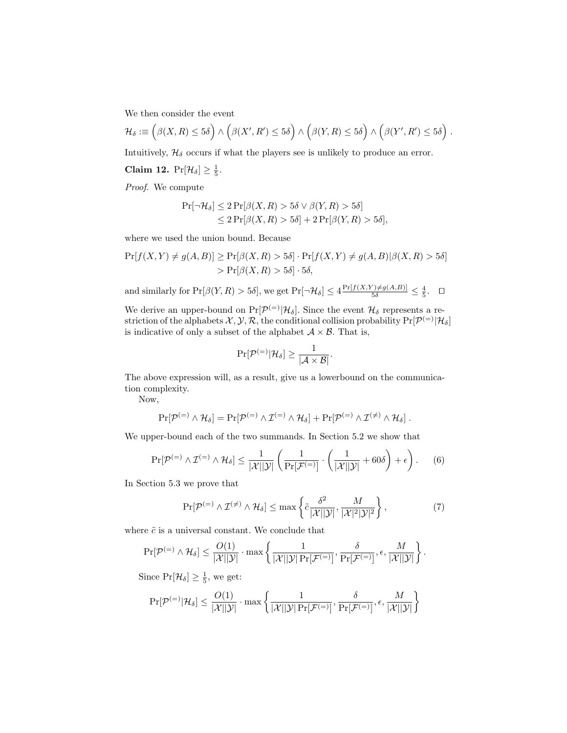We then consider the event

$$
\mathcal{H}_{\delta} := \left(\beta(X,R) \leq 5\delta\right) \wedge \left(\beta(X',R') \leq 5\delta\right) \wedge \left(\beta(Y,R) \leq 5\delta\right) \wedge \left(\beta(Y',R') \leq 5\delta\right).
$$

Intuitively,  $\mathcal{H}_{\delta}$  occurs if what the players see is unlikely to produce an error.

Claim 12.  $Pr[\mathcal{H}_{\delta}] \geq \frac{1}{5}$ .

Proof. We compute

$$
\Pr[\neg \mathcal{H}_{\delta}] \le 2 \Pr[\beta(X, R) > 5\delta \lor \beta(Y, R) > 5\delta] \\
 \le 2 \Pr[\beta(X, R) > 5\delta] + 2 \Pr[\beta(Y, R) > 5\delta],
$$

where we used the union bound. Because

$$
\Pr[f(X, Y) \neq g(A, B)] \geq \Pr[\beta(X, R) > 5\delta] \cdot \Pr[f(X, Y) \neq g(A, B)|\beta(X, R) > 5\delta]
$$
  
> 
$$
\Pr[\beta(X, R) > 5\delta] \cdot 5\delta,
$$

and similarly for  $Pr[\beta(Y, R) > 5\delta]$ , we get  $Pr[\neg \mathcal{H}_{\delta}] \leq 4 \frac{Pr[f(X, Y) \neq g(A, B)]}{5\delta} \leq \frac{4}{5}$ .  $\Box$ 

We derive an upper-bound on  $Pr[\mathcal{P}^{(=)}|\mathcal{H}_{\delta}]$ . Since the event  $\mathcal{H}_{\delta}$  represents a restriction of the alphabets  $\mathcal{X}, \mathcal{Y}, \mathcal{R},$  the conditional collision probability  $\Pr[\mathcal{P}^{(=)}|\mathcal{H}_\delta]$ is indicative of only a subset of the alphabet  $A \times B$ . That is,

$$
\Pr[\mathcal{P}^{(=)}|\mathcal{H}_\delta]\geq \frac{1}{|\mathcal{A}\times \mathcal{B}|}.
$$

The above expression will, as a result, give us a lowerbound on the communication complexity.

Now,

$$
\Pr[\mathcal{P}^{(=)} \wedge \mathcal{H}_{\delta}] = \Pr[\mathcal{P}^{(=)} \wedge \mathcal{I}^{(=)} \wedge \mathcal{H}_{\delta}] + \Pr[\mathcal{P}^{(=)} \wedge \mathcal{I}^{(\neq)} \wedge \mathcal{H}_{\delta}].
$$

We upper-bound each of the two summands. In Section 5.2 we show that

$$
\Pr[\mathcal{P}^{(=)} \wedge \mathcal{I}^{(=)} \wedge \mathcal{H}_{\delta}] \le \frac{1}{|\mathcal{X}||\mathcal{Y}|} \left( \frac{1}{\Pr[\mathcal{F}^{(=)}]} \cdot \left( \frac{1}{|\mathcal{X}||\mathcal{Y}|} + 60\delta \right) + \epsilon \right). \tag{6}
$$

In Section 5.3 we prove that

$$
\Pr[\mathcal{P}^{(=)} \wedge \mathcal{I}^{(\neq)} \wedge \mathcal{H}_{\delta}] \le \max\left\{\tilde{c} \frac{\delta^2}{|\mathcal{X}||\mathcal{Y}|}, \frac{M}{|\mathcal{X}|^2 |\mathcal{Y}|^2}\right\},\tag{7}
$$

where  $\tilde{c}$  is a universal constant. We conclude that

$$
\Pr[\mathcal{P}^{(=)} \wedge \mathcal{H}_{\delta}] \leq \frac{O(1)}{|\mathcal{X}||\mathcal{Y}|} \cdot \max \left\{ \frac{1}{|\mathcal{X}||\mathcal{Y}| \Pr[\mathcal{F}^{(=)}]}, \frac{\delta}{\Pr[\mathcal{F}^{(=)}]}, \epsilon, \frac{M}{|\mathcal{X}||\mathcal{Y}|} \right\}.
$$

Since  $Pr[\mathcal{H}_{\delta}] \geq \frac{1}{5}$ , we get:

$$
\Pr[\mathcal{P}^{(=)}|\mathcal{H}_\delta] \leq \frac{O(1)}{|\mathcal{X}||\mathcal{Y}|} \cdot \max \left\{ \frac{1}{|\mathcal{X}||\mathcal{Y}| \Pr[\mathcal{F}^{(=)}] }, \frac{\delta}{\Pr[\mathcal{F}^{(=)}]}, \epsilon, \frac{M}{|\mathcal{X}||\mathcal{Y}|} \right\}
$$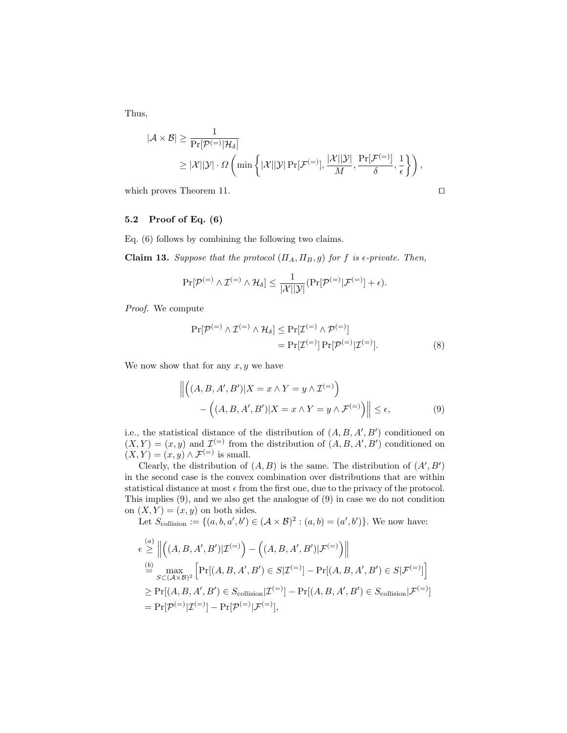Thus,

$$
|\mathcal{A} \times \mathcal{B}| \geq \frac{1}{\Pr[\mathcal{P}^{(=)}|\mathcal{H}_{\delta}]} \geq |\mathcal{X}||\mathcal{Y}| \cdot \Omega\left(\min\left\{|\mathcal{X}||\mathcal{Y}| \Pr[\mathcal{F}^{(=)}], \frac{|\mathcal{X}||\mathcal{Y}|}{M}, \frac{\Pr[\mathcal{F}^{(=)}]}{\delta}, \frac{1}{\epsilon}\right\}\right),
$$

which proves Theorem 11.  $\Box$ 

## 5.2 Proof of Eq. (6)

Eq. (6) follows by combining the following two claims.

**Claim 13.** Suppose that the protocol  $(\Pi_A, \Pi_B, g)$  for f is  $\epsilon$ -private. Then,

$$
\Pr[\mathcal{P}^{(=)}\wedge \mathcal{I}^{(=)}\wedge \mathcal{H}_\delta]\leq \frac{1}{|\mathcal{X}||\mathcal{Y}|}(\Pr[\mathcal{P}^{(=)}|\mathcal{F}^{(=)}]+\epsilon).
$$

Proof. We compute

$$
\Pr[\mathcal{P}^{(=)} \wedge \mathcal{I}^{(=)} \wedge \mathcal{H}_{\delta}] \le \Pr[\mathcal{I}^{(=)} \wedge \mathcal{P}^{(=)}] \\
= \Pr[\mathcal{I}^{(=)}] \Pr[\mathcal{P}^{(=)} | \mathcal{I}^{(=)}].
$$
\n(8)

We now show that for any  $x, y$  we have

$$
\left\| \left( (A, B, A', B') | X = x \wedge Y = y \wedge \mathcal{I}^{(=)} \right) - \left( (A, B, A', B') | X = x \wedge Y = y \wedge \mathcal{F}^{(=)} \right) \right\| \le \epsilon,
$$
\n(9)

i.e., the statistical distance of the distribution of  $(A, B, A', B')$  conditioned on  $(X,Y) = (x,y)$  and  $\mathcal{I}^{(=)}$  from the distribution of  $(A, B, A', B')$  conditioned on  $(X, Y) = (x, y) \wedge \mathcal{F}^{(=)}$  is small.

Clearly, the distribution of  $(A, B)$  is the same. The distribution of  $(A', B')$ in the second case is the convex combination over distributions that are within statistical distance at most  $\epsilon$  from the first one, due to the privacy of the protocol. This implies (9), and we also get the analogue of (9) in case we do not condition on  $(X, Y) = (x, y)$  on both sides.

Let  $S_{\text{collision}} := \{(a, b, a', b') \in (\mathcal{A} \times \mathcal{B})^2 : (a, b) = (a', b')\}.$  We now have:

$$
\epsilon \stackrel{(a)}{\geq} \left\| \left( (A, B, A', B') | \mathcal{I}^{(=)} \right) - \left( (A, B, A', B') | \mathcal{F}^{(=)} \right) \right\|
$$
  
\n
$$
\stackrel{(b)}{=} \max_{S \subset (\mathcal{A} \times \mathcal{B})^2} \left[ \Pr[(A, B, A', B') \in S | \mathcal{I}^{(=)}] - \Pr[(A, B, A', B') \in S | \mathcal{F}^{(=)}] \right]
$$
  
\n
$$
\geq \Pr[(A, B, A', B') \in S_{\text{collision}} | \mathcal{I}^{(=)}] - \Pr[(A, B, A', B') \in S_{\text{collision}} | \mathcal{F}^{(=)}]
$$
  
\n
$$
= \Pr[\mathcal{P}^{(-)} | \mathcal{I}^{(=)}] - \Pr[\mathcal{P}^{(-)} | \mathcal{F}^{(=)}],
$$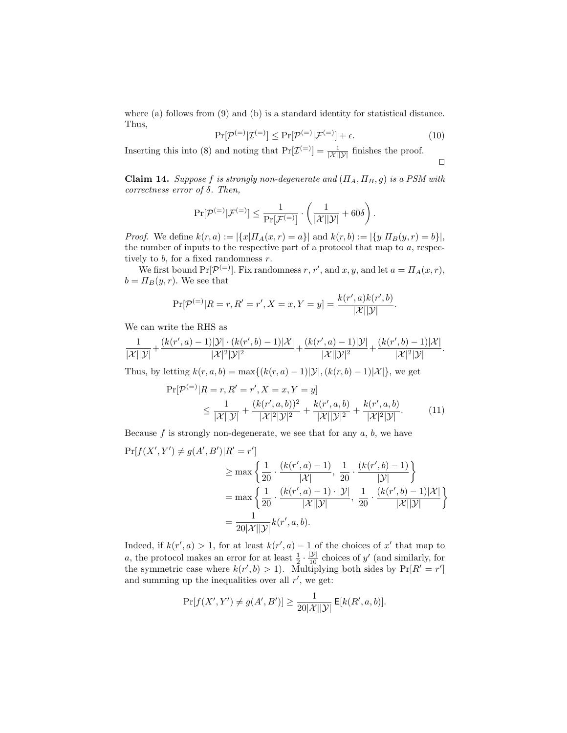where (a) follows from (9) and (b) is a standard identity for statistical distance. Thus,

$$
\Pr[\mathcal{P}^{(=)}|\mathcal{I}^{(=)}] \le \Pr[\mathcal{P}^{(=)}|\mathcal{F}^{(=)}] + \epsilon. \tag{10}
$$

Inserting this into (8) and noting that  $Pr[\mathcal{I}^{(=)}] = \frac{1}{|\mathcal{X}||\mathcal{Y}|}$  finishes the proof.  $\Box$ 

Claim 14. Suppose f is strongly non-degenerate and  $(\Pi_A, \Pi_B, g)$  is a PSM with correctness error of  $\delta$ . Then,

$$
\Pr[\mathcal{P}^{(=)}|\mathcal{F}^{(=)}] \leq \frac{1}{\Pr[\mathcal{F}^{(=)}]} \cdot \left(\frac{1}{|\mathcal{X}||\mathcal{Y}|} + 60\delta\right).
$$

*Proof.* We define  $k(r, a) := |\{x | H_A(x, r) = a\}|$  and  $k(r, b) := |\{y | H_B(y, r) = b\}|$ , the number of inputs to the respective part of a protocol that map to  $a$ , respectively to  $b$ , for a fixed randomness  $r$ .

We first bound  $Pr[\mathcal{P}^{(=)}]$ . Fix randomness r, r', and x, y, and let  $a = \Pi_A(x, r)$ ,  $b = \prod_B(y, r)$ . We see that

$$
\Pr[\mathcal{P}^{(=)}|R=r, R'=r', X=x, Y=y] = \frac{k(r',a)k(r',b)}{|\mathcal{X}||\mathcal{Y}|}.
$$

We can write the RHS as

$$
\frac{1}{|\mathcal{X}||\mathcal{Y}|} + \frac{(k(r',a)-1)|\mathcal{Y}| \cdot (k(r',b)-1)|\mathcal{X}|}{|\mathcal{X}|^2|\mathcal{Y}|^2} + \frac{(k(r',a)-1)|\mathcal{Y}|}{|\mathcal{X}||\mathcal{Y}|^2} + \frac{(k(r',b)-1)|\mathcal{X}|}{|\mathcal{X}|^2|\mathcal{Y}|}.
$$

Thus, by letting  $k(r, a, b) = \max\{(k(r, a) - 1)|\mathcal{Y}|, (k(r, b) - 1)|\mathcal{X}|\}$ , we get

$$
\Pr[\mathcal{P}^{(=)}|R=r,R'=r',X=x,Y=y] \le \frac{1}{|\mathcal{X}||\mathcal{Y}|} + \frac{(k(r',a,b))^2}{|\mathcal{X}|^2|\mathcal{Y}|^2} + \frac{k(r',a,b)}{|\mathcal{X}||\mathcal{Y}|^2} + \frac{k(r',a,b)}{|\mathcal{X}|^2|\mathcal{Y}|}. \tag{11}
$$

Because  $f$  is strongly non-degenerate, we see that for any  $a, b$ , we have

$$
\Pr[f(X', Y') \neq g(A', B')|R' = r']
$$
  
\n
$$
\geq \max \left\{ \frac{1}{20} \cdot \frac{(k(r', a) - 1)}{|\mathcal{X}|}, \frac{1}{20} \cdot \frac{(k(r', b) - 1)}{|\mathcal{Y}|} \right\}
$$
  
\n
$$
= \max \left\{ \frac{1}{20} \cdot \frac{(k(r', a) - 1) \cdot |\mathcal{Y}|}{|\mathcal{X}||\mathcal{Y}|}, \frac{1}{20} \cdot \frac{(k(r', b) - 1)|\mathcal{X}|}{|\mathcal{X}||\mathcal{Y}|} \right\}
$$
  
\n
$$
= \frac{1}{20|\mathcal{X}||\mathcal{Y}|} k(r', a, b).
$$

Indeed, if  $k(r', a) > 1$ , for at least  $k(r', a) - 1$  of the choices of x' that map to a, the protocol makes an error for at least  $\frac{1}{2} \cdot \frac{|\mathcal{Y}|}{10}$  choices of y' (and similarly, for the symmetric case where  $k(r', b) > 1$ . Multiplying both sides by  $Pr[R' = r']$ and summing up the inequalities over all  $r'$ , we get:

$$
\Pr[f(X',Y') \neq g(A',B')] \geq \frac{1}{20|\mathcal{X}||\mathcal{Y}|} \mathsf{E}[k(R',a,b)].
$$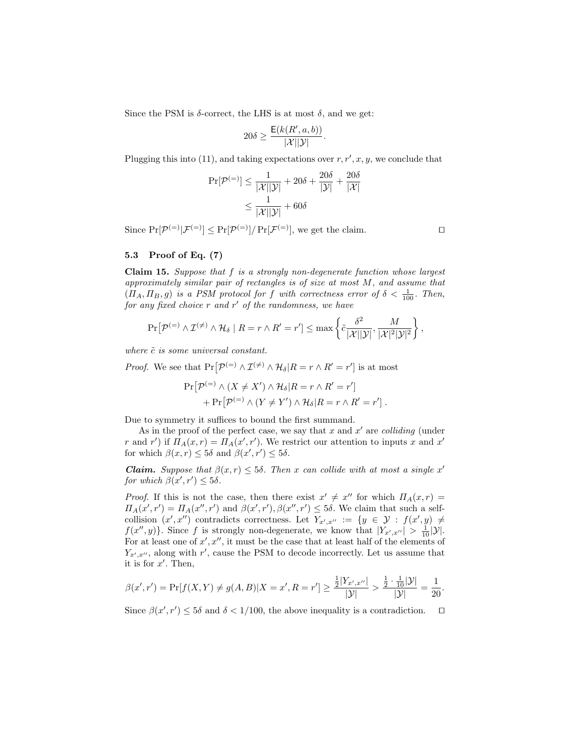Since the PSM is  $\delta$ -correct, the LHS is at most  $\delta$ , and we get:

$$
20\delta \ge \frac{\mathsf{E}(k(R', a, b))}{|\mathcal{X}||\mathcal{Y}|}.
$$

Plugging this into (11), and taking expectations over  $r, r', x, y$ , we conclude that

$$
\Pr[\mathcal{P}^{(=)}] \le \frac{1}{|\mathcal{X}||\mathcal{Y}|} + 20\delta + \frac{20\delta}{|\mathcal{Y}|} + \frac{20\delta}{|\mathcal{X}|}
$$

$$
\le \frac{1}{|\mathcal{X}||\mathcal{Y}|} + 60\delta
$$

Since  $Pr[\mathcal{P}^{(=)}|\mathcal{F}^{(=)}] \leq Pr[\mathcal{P}^{(=)}]/Pr[\mathcal{F}^{(=)}]$ , we get the claim.

## 5.3 Proof of Eq. (7)

Claim 15. Suppose that f is a strongly non-degenerate function whose largest approximately similar pair of rectangles is of size at most M, and assume that  $(\Pi_A, \Pi_B, g)$  is a PSM protocol for f with correctness error of  $\delta < \frac{1}{100}$ . Then, for any fixed choice  $r$  and  $r'$  of the randomness, we have

$$
\Pr[\mathcal{P}^{(=)} \wedge \mathcal{I}^{(\neq)} \wedge \mathcal{H}_{\delta} \mid R = r \wedge R' = r'] \leq \max \left\{ \tilde{c} \frac{\delta^2}{|\mathcal{X}||\mathcal{Y}|}, \frac{M}{|\mathcal{X}|^2 |\mathcal{Y}|^2} \right\},\,
$$

where  $\tilde{c}$  is some universal constant.

*Proof.* We see that  $Pr[\mathcal{P}^{(=)} \wedge \mathcal{I}^{(\neq)} \wedge \mathcal{H}_{\delta} | R = r \wedge R' = r']$  is at most

$$
\Pr[\mathcal{P}^{(=)} \land (X \neq X') \land \mathcal{H}_{\delta} | R = r \land R' = r'] + \Pr[\mathcal{P}^{(=)} \land (Y \neq Y') \land \mathcal{H}_{\delta} | R = r \land R' = r'] .
$$

Due to symmetry it suffices to bound the first summand.

As in the proof of the perfect case, we say that  $x$  and  $x'$  are colliding (under r and r') if  $\Pi_A(x,r) = \Pi_A(x',r')$ . We restrict our attention to inputs x and x' for which  $\beta(x,r) \leq 5\delta$  and  $\beta(x',r') \leq 5\delta$ .

**Claim.** Suppose that  $\beta(x,r) \leq 5\delta$ . Then x can collide with at most a single x' for which  $\beta(x', r') \leq 5\delta$ .

*Proof.* If this is not the case, then there exist  $x' \neq x''$  for which  $\Pi_A(x,r) =$  $\Pi_A(x',r') = \Pi_A(x'',r')$  and  $\beta(x',r'), \beta(x'',r') \leq 5\delta$ . We claim that such a selfcollision  $(x', x'')$  contradicts correctness. Let  $Y_{x',x''} := \{y \in \mathcal{Y} : f(x', y) \neq$  $f(x'', y)$ . Since f is strongly non-degenerate, we know that  $|Y_{x',x''}| > \frac{1}{10}|\mathcal{Y}|$ . For at least one of  $x', x''$ , it must be the case that at least half of the elements of  $Y_{x',x''}$ , along with r', cause the PSM to decode incorrectly. Let us assume that it is for  $x'$ . Then,

$$
\beta(x',r') = \Pr[f(X,Y) \neq g(A,B)|X=x',R=r'] \ge \frac{\frac{1}{2}|Y_{x',x''}|}{|\mathcal{Y}|} > \frac{\frac{1}{2} \cdot \frac{1}{10}|\mathcal{Y}|}{|\mathcal{Y}|} = \frac{1}{20}.
$$

Since  $\beta(x', r') \le 5\delta$  and  $\delta < 1/100$ , the above inequality is a contradiction.  $\Box$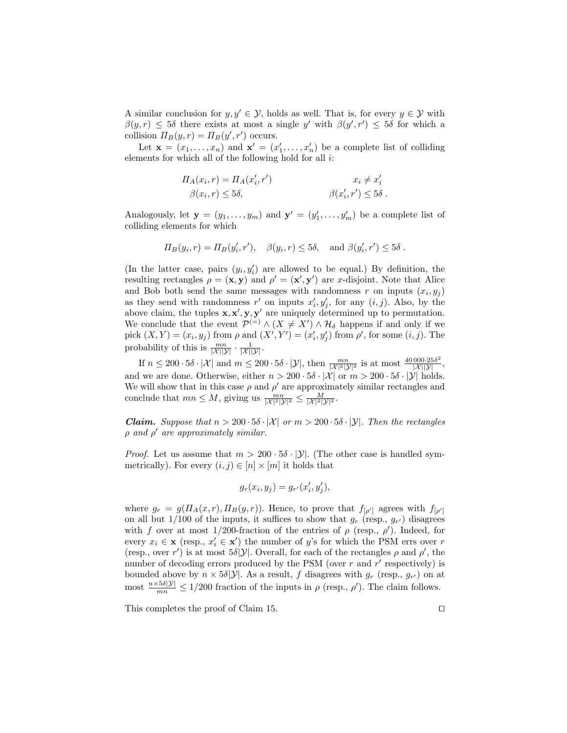A similar conclusion for  $y, y' \in \mathcal{Y}$ , holds as well. That is, for every  $y \in \mathcal{Y}$  with  $\beta(y,r) \leq 5\delta$  there exists at most a single y' with  $\beta(y',r') \leq 5\delta$  for which a collision  $\Pi_B(y,r) = \Pi_B(y',r')$  occurs.

Let  $\mathbf{x} = (x_1, \dots, x_n)$  and  $\mathbf{x}' = (x'_1, \dots, x'_n)$  be a complete list of colliding elements for which all of the following hold for all  $i$ :

$$
H_A(x_i, r) = H_A(x'_i, r')
$$
  
\n
$$
\beta(x_i, r) \le 5\delta,
$$
  
\n
$$
\beta(x'_i, r') \le 5\delta.
$$

Analogously, let  $y = (y_1, \ldots, y_m)$  and  $y' = (y'_1, \ldots, y'_m)$  be a complete list of colliding elements for which

$$
\Pi_B(y_i, r) = \Pi_B(y'_i, r'), \quad \beta(y_i, r) \le 5\delta, \quad \text{and } \beta(y'_i, r') \le 5\delta.
$$

(In the latter case, pairs  $(y_i, y'_i)$  are allowed to be equal.) By definition, the resulting rectangles  $\rho = (\mathbf{x}, \mathbf{y})$  and  $\rho' = (\mathbf{x}', \mathbf{y}')$  are x-disjoint. Note that Alice and Bob both send the same messages with randomness r on inputs  $(x_i, y_j)$ as they send with randomness r' on inputs  $x'_i, y'_j$ , for any  $(i, j)$ . Also, by the above claim, the tuples  $x, x', y, y'$  are uniquely determined up to permutation. We conclude that the event  $\mathcal{P}^{(=)} \wedge (X \neq X') \wedge \mathcal{H}_{\delta}$  happens if and only if we pick  $(X, Y) = (x_i, y_j)$  from  $\rho$  and  $(X', Y') = (x'_i, y'_j)$  from  $\rho'$ , for some  $(i, j)$ . The probability of this is  $\frac{mn}{|\mathcal{X}||\mathcal{Y}|} \cdot \frac{1}{|\mathcal{X}||\mathcal{Y}|}.$ 

If  $n \leq 200 \cdot 5\delta \cdot |\mathcal{X}|$  and  $m \leq 200 \cdot 5\delta \cdot |\mathcal{Y}|$ , then  $\frac{mn}{|\mathcal{X}|^2 |\mathcal{Y}|^2}$  is at most  $\frac{40\,000 \cdot 25\delta^2}{|\mathcal{X}||\mathcal{Y}|}$ , and we are done. Otherwise, either  $n > 200 \cdot 5\delta \cdot |\mathcal{X}|$  or  $m > 200 \cdot 5\delta \cdot |\mathcal{Y}|$  holds. We will show that in this case  $\rho$  and  $\rho'$  are approximately similar rectangles and conclude that  $mn \leq M$ , giving us  $\frac{mn}{|\mathcal{X}|^2|\mathcal{Y}|^2} \leq \frac{M}{|\mathcal{X}|^2|\mathcal{Y}|^2}$ .

**Claim.** Suppose that  $n > 200 \cdot 5\delta \cdot |\mathcal{X}|$  or  $m > 200 \cdot 5\delta \cdot |\mathcal{Y}|$ . Then the rectangles  $\rho$  and  $\rho'$  are approximately similar.

*Proof.* Let us assume that  $m > 200 \cdot 5\delta \cdot |\mathcal{Y}|$ . (The other case is handled symmetrically). For every  $(i, j) \in [n] \times [m]$  it holds that

$$
g_r(x_i, y_j) = g_{r'}(x'_i, y'_j),
$$

where  $g_r = g(\Pi_A(x,r), \Pi_B(y,r))$ . Hence, to prove that  $f_{\lbrack \rho' \rbrack}$  agrees with  $f_{\lbrack \rho' \rbrack}$ on all but  $1/100$  of the inputs, it suffices to show that  $g_r$  (resp.,  $g_{r'}$ ) disagrees with f over at most 1/200-fraction of the entries of  $\rho$  (resp.,  $\rho'$ ). Indeed, for every  $x_i \in \mathbf{x}$  (resp.,  $x'_i \in \mathbf{x}'$ ) the number of y's for which the PSM errs over r (resp., over r') is at most  $5\delta|\mathcal{Y}|$ . Overall, for each of the rectangles  $\rho$  and  $\rho'$ , the number of decoding errors produced by the PSM (over  $r$  and  $r'$  respectively) is bounded above by  $n \times 5\delta |\mathcal{Y}|$ . As a result, f disagrees with  $g_r$  (resp.,  $g_{r'}$ ) on at most  $\frac{n \times 5\delta|\mathcal{Y}|}{mn} \leq 1/200$  fraction of the inputs in  $\rho$  (resp.,  $\rho'$ ). The claim follows.

This completes the proof of Claim 15.  $\Box$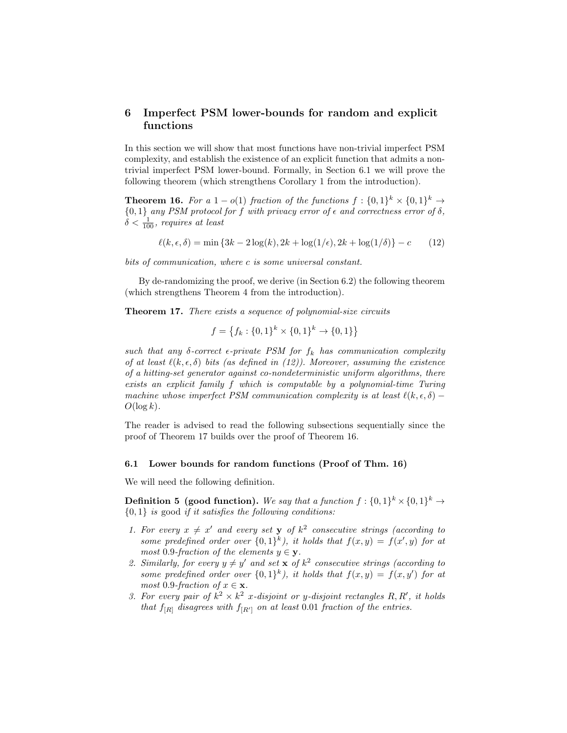## 6 Imperfect PSM lower-bounds for random and explicit functions

In this section we will show that most functions have non-trivial imperfect PSM complexity, and establish the existence of an explicit function that admits a nontrivial imperfect PSM lower-bound. Formally, in Section 6.1 we will prove the following theorem (which strengthens Corollary 1 from the introduction).

**Theorem 16.** For a 1 – o(1) fraction of the functions  $f: \{0,1\}^k \times \{0,1\}^k \to$  ${0, 1}$  any PSM protocol for f with privacy error of  $\epsilon$  and correctness error of  $\delta$ ,  $\delta < \frac{1}{100}$ , requires at least

 $\ell(k, \epsilon, \delta) = \min \{3k - 2 \log(k), 2k + \log(1/\epsilon), 2k + \log(1/\delta)\} - c$  (12)

bits of communication, where c is some universal constant.

By de-randomizing the proof, we derive (in Section 6.2) the following theorem (which strengthens Theorem 4 from the introduction).

**Theorem 17.** There exists a sequence of polynomial-size circuits

$$
f = \{f_k : \{0, 1\}^k \times \{0, 1\}^k \to \{0, 1\}\}\
$$

such that any  $\delta$ -correct  $\epsilon$ -private PSM for  $f_k$  has communication complexity of at least  $\ell(k, \epsilon, \delta)$  bits (as defined in (12)). Moreover, assuming the existence of a hitting-set generator against co-nondeterministic uniform algorithms, there exists an explicit family f which is computable by a polynomial-time Turing machine whose imperfect PSM communication complexity is at least  $\ell(k, \epsilon, \delta)$  –  $O(\log k)$ .

The reader is advised to read the following subsections sequentially since the proof of Theorem 17 builds over the proof of Theorem 16.

#### 6.1 Lower bounds for random functions (Proof of Thm. 16)

We will need the following definition.

**Definition 5** (good function). We say that a function  $f: \{0,1\}^k \times \{0,1\}^k \rightarrow$  ${0, 1}$  is good if it satisfies the following conditions:

- 1. For every  $x \neq x'$  and every set y of  $k^2$  consecutive strings (according to some predefined order over  $\{0,1\}^k$ , it holds that  $f(x,y) = f(x',y)$  for at most 0.9-fraction of the elements  $y \in y$ .
- 2. Similarly, for every  $y \neq y'$  and set **x** of  $k^2$  consecutive strings (according to some predefined order over  $\{0,1\}^k$ , it holds that  $f(x,y) = f(x,y')$  for at most 0.9-fraction of  $x \in \mathbf{x}$ .
- 3. For every pair of  $k^2 \times k^2$  x-disjoint or y-disjoint rectangles R, R', it holds that  $f_{[R]}$  disagrees with  $f_{[R']}$  on at least 0.01 fraction of the entries.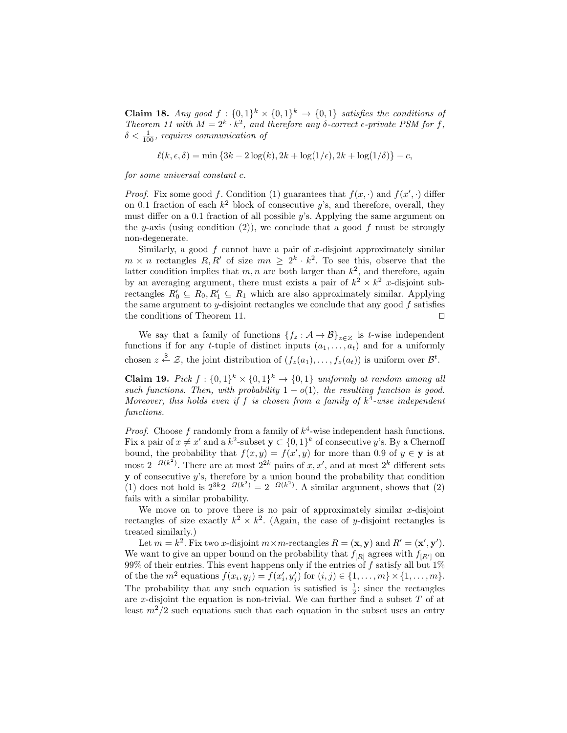**Claim 18.** Any good  $f: \{0,1\}^k \times \{0,1\}^k \rightarrow \{0,1\}$  satisfies the conditions of Theorem 11 with  $M = 2^k \cdot k^2$ , and therefore any  $\delta$ -correct  $\epsilon$ -private PSM for f,  $\delta < \frac{1}{100}$ , requires communication of

 $\ell(k, \epsilon, \delta) = \min \{3k - 2 \log(k), 2k + \log(1/\epsilon), 2k + \log(1/\delta)\} - c,$ 

for some universal constant c.

*Proof.* Fix some good f. Condition (1) guarantees that  $f(x, \cdot)$  and  $f(x', \cdot)$  differ on 0.1 fraction of each  $k^2$  block of consecutive y's, and therefore, overall, they must differ on a 0.1 fraction of all possible y's. Applying the same argument on the y-axis (using condition (2)), we conclude that a good f must be strongly non-degenerate.

Similarly, a good  $f$  cannot have a pair of  $x$ -disjoint approximately similar  $m \times n$  rectangles  $R, R'$  of size  $mn \geq 2^k \cdot k^2$ . To see this, observe that the latter condition implies that  $m, n$  are both larger than  $k^2$ , and therefore, again by an averaging argument, there must exists a pair of  $k^2 \times k^2$  x-disjoint subrectangles  $R'_0 \subseteq R_0, R'_1 \subseteq R_1$  which are also approximately similar. Applying the same argument to y-disjoint rectangles we conclude that any good  $f$  satisfies the conditions of Theorem 11.  $\Box$ 

We say that a family of functions  $\{f_z : \mathcal{A} \to \mathcal{B}\}_{z \in \mathcal{Z}}$  is t-wise independent functions if for any t-tuple of distinct inputs  $(a_1, \ldots, a_t)$  and for a uniformly chosen  $z \stackrel{\$}{\leftarrow} \mathcal{Z}$ , the joint distribution of  $(f_z(a_1), \ldots, f_z(a_t))$  is uniform over  $\mathcal{B}^t$ .

**Claim 19.** Pick  $f : \{0,1\}^k \times \{0,1\}^k \rightarrow \{0,1\}$  uniformly at random among all such functions. Then, with probability  $1 - o(1)$ , the resulting function is good. Moreover, this holds even if f is chosen from a family of  $k^4$ -wise independent functions.

*Proof.* Choose f randomly from a family of  $k^4$ -wise independent hash functions. Fix a pair of  $x \neq x'$  and a  $k^2$ -subset  $y \subset \{0,1\}^k$  of consecutive y's. By a Chernoff bound, the probability that  $f(x, y) = f(x', y)$  for more than 0.9 of  $y \in y$  is at most  $2^{-\Omega(k^2)}$ . There are at most  $2^{2k}$  pairs of x, x', and at most  $2^k$  different sets y of consecutive y's, therefore by a union bound the probability that condition (1) does not hold is  $2^{3k}2^{-\Omega(k^2)} = 2^{-\Omega(k^2)}$ . A similar argument, shows that (2) fails with a similar probability.

We move on to prove there is no pair of approximately similar  $x$ -disjoint rectangles of size exactly  $k^2 \times k^2$ . (Again, the case of y-disjoint rectangles is treated similarly.)

Let  $m = k^2$ . Fix two x-disjoint  $m \times m$ -rectangles  $R = (\mathbf{x}, \mathbf{y})$  and  $R' = (\mathbf{x}', \mathbf{y}')$ . We want to give an upper bound on the probability that  $f_{[R]}$  agrees with  $f_{[R']}$  on 99% of their entries. This event happens only if the entries of  $f$  satisfy all but  $1\%$ of the the  $m^2$  equations  $f(x_i, y_j) = f(x'_i, y'_j)$  for  $(i, j) \in \{1, ..., m\} \times \{1, ..., m\}$ . The probability that any such equation is satisfied is  $\frac{1}{2}$ : since the rectangles are x-disjoint the equation is non-trivial. We can further find a subset  $T$  of at least  $m^2/2$  such equations such that each equation in the subset uses an entry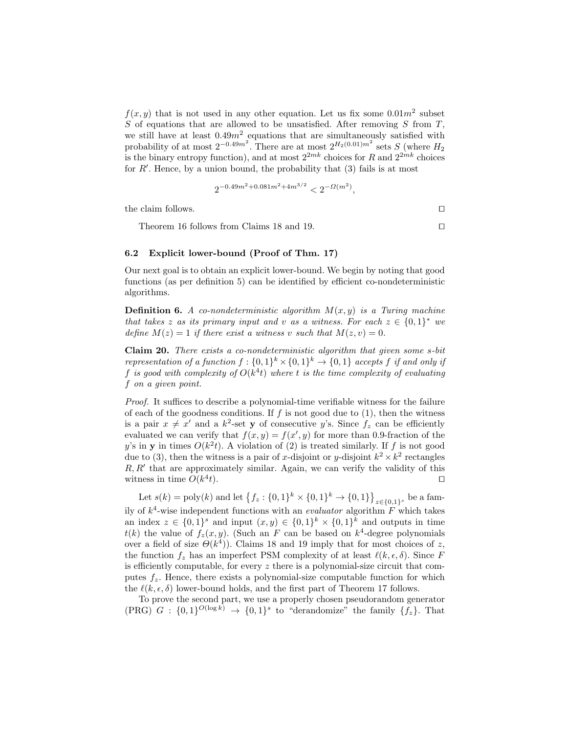$f(x, y)$  that is not used in any other equation. Let us fix some  $0.01m^2$  subset S of equations that are allowed to be unsatisfied. After removing S from  $T$ , we still have at least  $0.49m^2$  equations that are simultaneously satisfied with probability of at most  $2^{-0.49m^2}$ . There are at most  $2^{H_2(0.01)m^2}$  sets S (where  $H_2$ is the binary entropy function), and at most  $2^{2mk}$  choices for R and  $2^{2mk}$  choices for  $R'$ . Hence, by a union bound, the probability that  $(3)$  fails is at most

$$
2^{-0.49m^2 + 0.081m^2 + 4m^{3/2}} < 2^{-\Omega(m^2)},
$$

the claim follows.  $\Box$ 

Theorem 16 follows from Claims 18 and 19.  $\Box$ 

#### 6.2 Explicit lower-bound (Proof of Thm. 17)

Our next goal is to obtain an explicit lower-bound. We begin by noting that good functions (as per definition 5) can be identified by efficient co-nondeterministic algorithms.

**Definition 6.** A co-nondeterministic algorithm  $M(x, y)$  is a Turing machine that takes z as its primary input and v as a witness. For each  $z \in \{0,1\}^*$  we define  $M(z) = 1$  if there exist a witness v such that  $M(z, v) = 0$ .

Claim 20. There exists a co-nondeterministic algorithm that given some s-bit representation of a function  $f: \{0,1\}^k \times \{0,1\}^k \to \{0,1\}$  accepts f if and only if f is good with complexity of  $O(k^4t)$  where t is the time complexity of evaluating f on a given point.

Proof. It suffices to describe a polynomial-time verifiable witness for the failure of each of the goodness conditions. If  $f$  is not good due to  $(1)$ , then the witness is a pair  $x \neq x'$  and a  $k^2$ -set y of consecutive y's. Since  $f_z$  can be efficiently evaluated we can verify that  $f(x, y) = f(x', y)$  for more than 0.9-fraction of the y's in **y** in times  $O(k^2t)$ . A violation of (2) is treated similarly. If f is not good due to (3), then the witness is a pair of x-disjoint or y-disjoint  $k^2 \times k^2$  rectangles  $R, R'$  that are approximately similar. Again, we can verify the validity of this witness in time  $O(k^4)$ t).  $\square$ 

Let  $s(k) = \text{poly}(k)$  and let  $\{f_z: \{0,1\}^k \times \{0,1\}^k \to \{0,1\}\}_{z \in \{0,1\}^s}$  be a family of  $k^4$ -wise independent functions with an *evaluator* algorithm  $\overline{F}$  which takes an index  $z \in \{0,1\}^s$  and input  $(x, y) \in \{0,1\}^k \times \{0,1\}^k$  and outputs in time  $t(k)$  the value of  $f_z(x, y)$ . (Such an F can be based on  $k^4$ -degree polynomials over a field of size  $\Theta(k^4)$ ). Claims 18 and 19 imply that for most choices of z, the function  $f_z$  has an imperfect PSM complexity of at least  $\ell(k, \epsilon, \delta)$ . Since F is efficiently computable, for every  $z$  there is a polynomial-size circuit that computes  $f_z$ . Hence, there exists a polynomial-size computable function for which the  $\ell(k, \epsilon, \delta)$  lower-bound holds, and the first part of Theorem 17 follows.

To prove the second part, we use a properly chosen pseudorandom generator  $(PRG) G : \{0,1\}^{O(\log k)} \longrightarrow \{0,1\}^s$  to "derandomize" the family  $\{f_z\}$ . That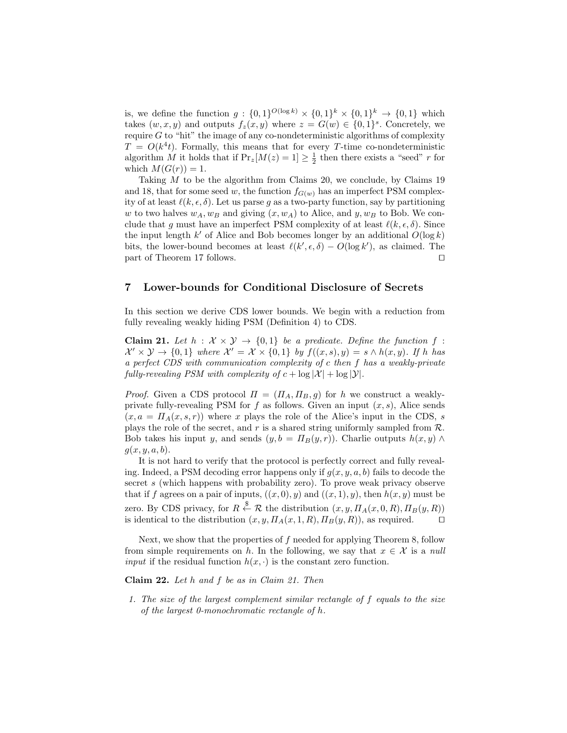is, we define the function  $g: \{0,1\}^{O(\log k)} \times \{0,1\}^k \times \{0,1\}^k \rightarrow \{0,1\}$  which takes  $(w, x, y)$  and outputs  $f_z(x, y)$  where  $z = G(w) \in \{0, 1\}^s$ . Concretely, we require  $G$  to "hit" the image of any co-nondeterministic algorithms of complexity  $T = O(k<sup>4</sup>t)$ . Formally, this means that for every T-time co-nondeterministic algorithm M it holds that if  $Pr_z[M(z) = 1] \ge \frac{1}{2}$  then there exists a "seed" r for which  $M(G(r)) = 1$ .

Taking M to be the algorithm from Claims 20, we conclude, by Claims 19 and 18, that for some seed w, the function  $f_{G(w)}$  has an imperfect PSM complexity of at least  $\ell(k, \epsilon, \delta)$ . Let us parse g as a two-party function, say by partitioning w to two halves  $w_A, w_B$  and giving  $(x, w_A)$  to Alice, and  $y, w_B$  to Bob. We conclude that g must have an imperfect PSM complexity of at least  $\ell(k, \epsilon, \delta)$ . Since the input length  $k'$  of Alice and Bob becomes longer by an additional  $O(\log k)$ bits, the lower-bound becomes at least  $\ell(k', \epsilon, \delta) - O(\log k')$ , as claimed. The part of Theorem 17 follows.  $\Box$ 

## 7 Lower-bounds for Conditional Disclosure of Secrets

In this section we derive CDS lower bounds. We begin with a reduction from fully revealing weakly hiding PSM (Definition 4) to CDS.

**Claim 21.** Let  $h : \mathcal{X} \times \mathcal{Y} \rightarrow \{0,1\}$  be a predicate. Define the function f:  $\mathcal{X}' \times \mathcal{Y} \to \{0,1\}$  where  $\mathcal{X}' = \mathcal{X} \times \{0,1\}$  by  $f((x,s),y) = s \wedge h(x,y)$ . If h has a perfect CDS with communication complexity of c then f has a weakly-private fully-revealing PSM with complexity of  $c + \log |\mathcal{X}| + \log |\mathcal{Y}|$ .

*Proof.* Given a CDS protocol  $\Pi = (\Pi_A, \Pi_B, g)$  for h we construct a weaklyprivate fully-revealing PSM for f as follows. Given an input  $(x, s)$ , Alice sends  $(x, a = \Pi_A(x, s, r))$  where x plays the role of the Alice's input in the CDS, s plays the role of the secret, and  $r$  is a shared string uniformly sampled from  $\mathcal{R}$ . Bob takes his input y, and sends  $(y, b = \Pi_B(y, r))$ . Charlie outputs  $h(x, y) \wedge$  $g(x, y, a, b)$ .

It is not hard to verify that the protocol is perfectly correct and fully revealing. Indeed, a PSM decoding error happens only if  $g(x, y, a, b)$  fails to decode the secret s (which happens with probability zero). To prove weak privacy observe that if f agrees on a pair of inputs,  $((x, 0), y)$  and  $((x, 1), y)$ , then  $h(x, y)$  must be zero. By CDS privacy, for  $R \stackrel{\$}{\leftarrow} \mathcal{R}$  the distribution  $(x, y, \Pi_A(x, 0, R), \Pi_B(y, R))$ is identical to the distribution  $(x, y, \Pi_A(x, 1, R), \Pi_B(y, R))$ , as required.

Next, we show that the properties of  $f$  needed for applying Theorem 8, follow from simple requirements on h. In the following, we say that  $x \in \mathcal{X}$  is a null *input* if the residual function  $h(x, \cdot)$  is the constant zero function.

#### Claim 22. Let h and f be as in Claim 21. Then

1. The size of the largest complement similar rectangle of f equals to the size of the largest 0-monochromatic rectangle of h.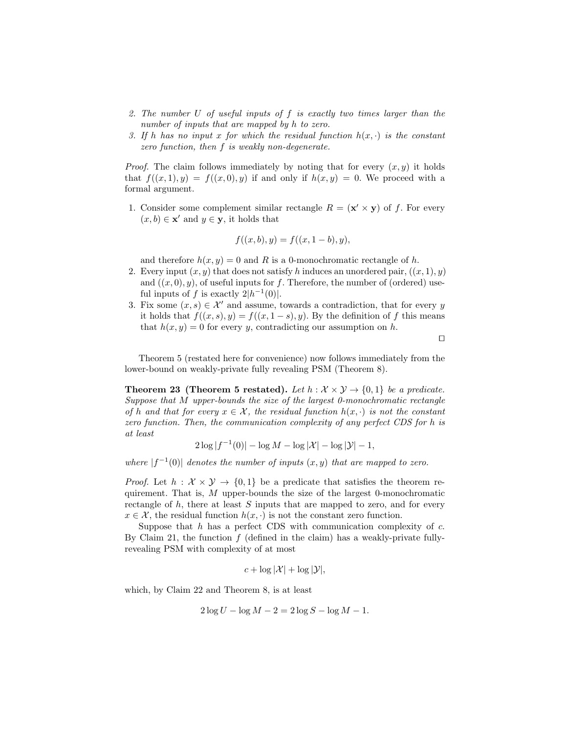- 2. The number U of useful inputs of f is exactly two times larger than the number of inputs that are mapped by h to zero.
- 3. If h has no input x for which the residual function  $h(x, \cdot)$  is the constant zero function, then f is weakly non-degenerate.

*Proof.* The claim follows immediately by noting that for every  $(x, y)$  it holds that  $f((x, 1), y) = f((x, 0), y)$  if and only if  $h(x, y) = 0$ . We proceed with a formal argument.

1. Consider some complement similar rectangle  $R = (\mathbf{x}' \times \mathbf{y})$  of f. For every  $(x, b) \in \mathbf{x}'$  and  $y \in \mathbf{y}$ , it holds that

$$
f((x, b), y) = f((x, 1 - b), y),
$$

and therefore  $h(x, y) = 0$  and R is a 0-monochromatic rectangle of h.

- 2. Every input  $(x, y)$  that does not satisfy h induces an unordered pair,  $((x, 1), y)$ and  $((x, 0), y)$ , of useful inputs for f. Therefore, the number of (ordered) useful inputs of f is exactly  $2|h^{-1}(0)|$ .
- 3. Fix some  $(x, s) \in \mathcal{X}'$  and assume, towards a contradiction, that for every y it holds that  $f((x, s), y) = f((x, 1-s), y)$ . By the definition of f this means that  $h(x, y) = 0$  for every y, contradicting our assumption on h.

 $\Box$ 

Theorem 5 (restated here for convenience) now follows immediately from the lower-bound on weakly-private fully revealing PSM (Theorem 8).

**Theorem 23 (Theorem 5 restated).** Let  $h : \mathcal{X} \times \mathcal{Y} \rightarrow \{0, 1\}$  be a predicate. Suppose that M upper-bounds the size of the largest  $\theta$ -monochromatic rectangle of h and that for every  $x \in \mathcal{X}$ , the residual function  $h(x, \cdot)$  is not the constant zero function. Then, the communication complexity of any perfect CDS for h is at least

$$
2\log|f^{-1}(0)| - \log M - \log|\mathcal{X}| - \log|\mathcal{Y}| - 1,
$$

where  $|f^{-1}(0)|$  denotes the number of inputs  $(x, y)$  that are mapped to zero.

*Proof.* Let  $h : \mathcal{X} \times \mathcal{Y} \rightarrow \{0,1\}$  be a predicate that satisfies the theorem requirement. That is, M upper-bounds the size of the largest 0-monochromatic rectangle of  $h$ , there at least  $S$  inputs that are mapped to zero, and for every  $x \in \mathcal{X}$ , the residual function  $h(x, \cdot)$  is not the constant zero function.

Suppose that h has a perfect CDS with communication complexity of  $c$ . By Claim 21, the function  $f$  (defined in the claim) has a weakly-private fullyrevealing PSM with complexity of at most

$$
c + \log |\mathcal{X}| + \log |\mathcal{Y}|,
$$

which, by Claim 22 and Theorem 8, is at least

$$
2\log U - \log M - 2 = 2\log S - \log M - 1.
$$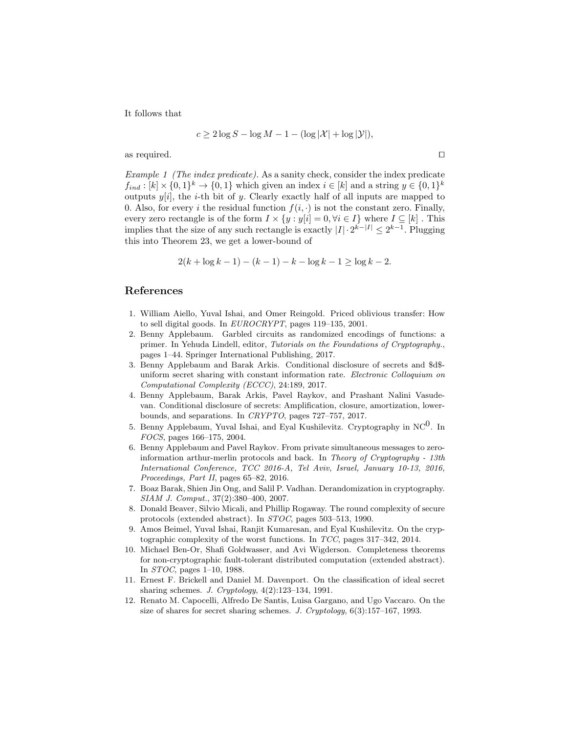It follows that

$$
c \ge 2\log S - \log M - 1 - (\log |\mathcal{X}| + \log |\mathcal{Y}|),
$$

as required.  $\Box$ 

Example 1 (The index predicate). As a sanity check, consider the index predicate  $f_{ind}: [k] \times \{0,1\}^k \to \{0,1\}$  which given an index  $i \in [k]$  and a string  $y \in \{0,1\}^k$ outputs  $y[i]$ , the *i*-th bit of y. Clearly exactly half of all inputs are mapped to 0. Also, for every i the residual function  $f(i, \cdot)$  is not the constant zero. Finally, every zero rectangle is of the form  $I \times \{y : y[i] = 0, \forall i \in I\}$  where  $I \subseteq [k]$ . This implies that the size of any such rectangle is exactly  $|I| \cdot 2^{k-|I|} \leq 2^{k-1}$ . Plugging this into Theorem 23, we get a lower-bound of

$$
2(k + \log k - 1) - (k - 1) - k - \log k - 1 \ge \log k - 2.
$$

## References

- 1. William Aiello, Yuval Ishai, and Omer Reingold. Priced oblivious transfer: How to sell digital goods. In EUROCRYPT, pages 119–135, 2001.
- 2. Benny Applebaum. Garbled circuits as randomized encodings of functions: a primer. In Yehuda Lindell, editor, Tutorials on the Foundations of Cryptography., pages 1–44. Springer International Publishing, 2017.
- 3. Benny Applebaum and Barak Arkis. Conditional disclosure of secrets and \$d\$ uniform secret sharing with constant information rate. Electronic Colloquium on Computational Complexity (ECCC), 24:189, 2017.
- 4. Benny Applebaum, Barak Arkis, Pavel Raykov, and Prashant Nalini Vasudevan. Conditional disclosure of secrets: Amplification, closure, amortization, lowerbounds, and separations. In CRYPTO, pages 727–757, 2017.
- 5. Benny Applebaum, Yuval Ishai, and Eyal Kushilevitz. Cryptography in  $NC<sup>0</sup>$ . In FOCS, pages 166–175, 2004.
- 6. Benny Applebaum and Pavel Raykov. From private simultaneous messages to zeroinformation arthur-merlin protocols and back. In Theory of Cryptography - 13th International Conference, TCC 2016-A, Tel Aviv, Israel, January 10-13, 2016, Proceedings, Part II, pages 65–82, 2016.
- 7. Boaz Barak, Shien Jin Ong, and Salil P. Vadhan. Derandomization in cryptography. SIAM J. Comput., 37(2):380–400, 2007.
- 8. Donald Beaver, Silvio Micali, and Phillip Rogaway. The round complexity of secure protocols (extended abstract). In STOC, pages 503–513, 1990.
- 9. Amos Beimel, Yuval Ishai, Ranjit Kumaresan, and Eyal Kushilevitz. On the cryptographic complexity of the worst functions. In TCC, pages 317–342, 2014.
- 10. Michael Ben-Or, Shafi Goldwasser, and Avi Wigderson. Completeness theorems for non-cryptographic fault-tolerant distributed computation (extended abstract). In STOC, pages 1–10, 1988.
- 11. Ernest F. Brickell and Daniel M. Davenport. On the classification of ideal secret sharing schemes. J. Cryptology, 4(2):123–134, 1991.
- 12. Renato M. Capocelli, Alfredo De Santis, Luisa Gargano, and Ugo Vaccaro. On the size of shares for secret sharing schemes. J. Cryptology, 6(3):157–167, 1993.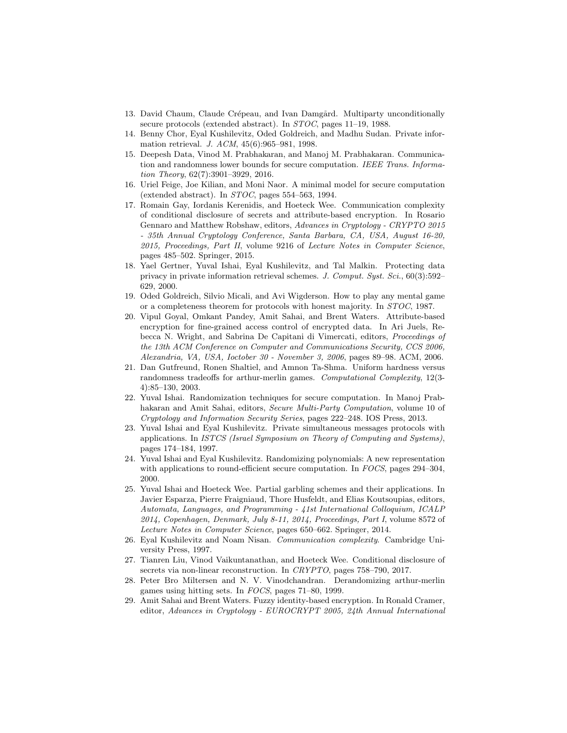- 13. David Chaum, Claude Crépeau, and Ivan Damgård. Multiparty unconditionally secure protocols (extended abstract). In STOC, pages 11–19, 1988.
- 14. Benny Chor, Eyal Kushilevitz, Oded Goldreich, and Madhu Sudan. Private information retrieval. J. ACM, 45(6):965–981, 1998.
- 15. Deepesh Data, Vinod M. Prabhakaran, and Manoj M. Prabhakaran. Communication and randomness lower bounds for secure computation. IEEE Trans. Information Theory, 62(7):3901–3929, 2016.
- 16. Uriel Feige, Joe Kilian, and Moni Naor. A minimal model for secure computation (extended abstract). In  $STOC$ , pages 554–563, 1994.
- 17. Romain Gay, Iordanis Kerenidis, and Hoeteck Wee. Communication complexity of conditional disclosure of secrets and attribute-based encryption. In Rosario Gennaro and Matthew Robshaw, editors, Advances in Cryptology - CRYPTO 2015 - 35th Annual Cryptology Conference, Santa Barbara, CA, USA, August 16-20, 2015, Proceedings, Part II, volume 9216 of Lecture Notes in Computer Science, pages 485–502. Springer, 2015.
- 18. Yael Gertner, Yuval Ishai, Eyal Kushilevitz, and Tal Malkin. Protecting data privacy in private information retrieval schemes. J. Comput. Syst. Sci., 60(3):592– 629, 2000.
- 19. Oded Goldreich, Silvio Micali, and Avi Wigderson. How to play any mental game or a completeness theorem for protocols with honest majority. In STOC, 1987.
- 20. Vipul Goyal, Omkant Pandey, Amit Sahai, and Brent Waters. Attribute-based encryption for fine-grained access control of encrypted data. In Ari Juels, Rebecca N. Wright, and Sabrina De Capitani di Vimercati, editors, Proceedings of the 13th ACM Conference on Computer and Communications Security, CCS 2006, Alexandria, VA, USA, Ioctober 30 - November 3, 2006, pages 89–98. ACM, 2006.
- 21. Dan Gutfreund, Ronen Shaltiel, and Amnon Ta-Shma. Uniform hardness versus randomness tradeoffs for arthur-merlin games. Computational Complexity, 12(3- 4):85–130, 2003.
- 22. Yuval Ishai. Randomization techniques for secure computation. In Manoj Prabhakaran and Amit Sahai, editors, Secure Multi-Party Computation, volume 10 of Cryptology and Information Security Series, pages 222–248. IOS Press, 2013.
- 23. Yuval Ishai and Eyal Kushilevitz. Private simultaneous messages protocols with applications. In ISTCS (Israel Symposium on Theory of Computing and Systems), pages 174–184, 1997.
- 24. Yuval Ishai and Eyal Kushilevitz. Randomizing polynomials: A new representation with applications to round-efficient secure computation. In FOCS, pages 294–304, 2000.
- 25. Yuval Ishai and Hoeteck Wee. Partial garbling schemes and their applications. In Javier Esparza, Pierre Fraigniaud, Thore Husfeldt, and Elias Koutsoupias, editors, Automata, Languages, and Programming - 41st International Colloquium, ICALP 2014, Copenhagen, Denmark, July 8-11, 2014, Proceedings, Part I, volume 8572 of Lecture Notes in Computer Science, pages 650–662. Springer, 2014.
- 26. Eyal Kushilevitz and Noam Nisan. Communication complexity. Cambridge University Press, 1997.
- 27. Tianren Liu, Vinod Vaikuntanathan, and Hoeteck Wee. Conditional disclosure of secrets via non-linear reconstruction. In CRYPTO, pages 758–790, 2017.
- 28. Peter Bro Miltersen and N. V. Vinodchandran. Derandomizing arthur-merlin games using hitting sets. In FOCS, pages 71–80, 1999.
- 29. Amit Sahai and Brent Waters. Fuzzy identity-based encryption. In Ronald Cramer, editor, Advances in Cryptology - EUROCRYPT 2005, 24th Annual International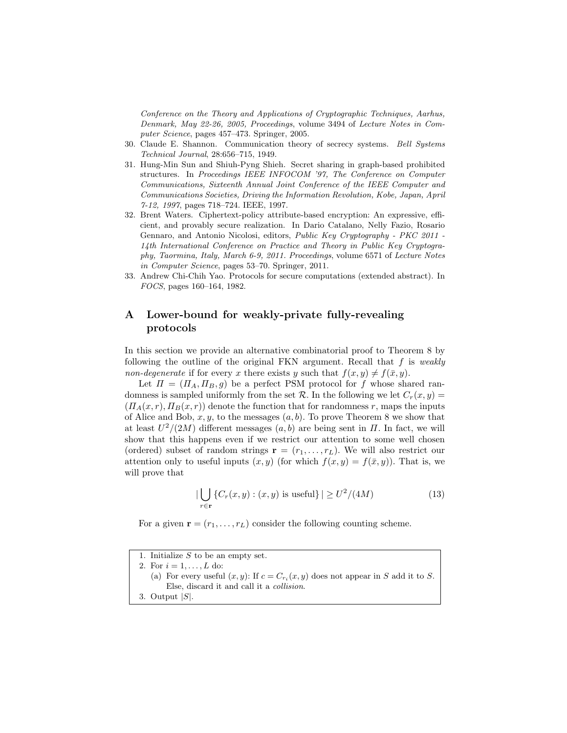Conference on the Theory and Applications of Cryptographic Techniques, Aarhus, Denmark, May 22-26, 2005, Proceedings, volume 3494 of Lecture Notes in Computer Science, pages 457–473. Springer, 2005.

- 30. Claude E. Shannon. Communication theory of secrecy systems. Bell Systems Technical Journal, 28:656–715, 1949.
- 31. Hung-Min Sun and Shiuh-Pyng Shieh. Secret sharing in graph-based prohibited structures. In Proceedings IEEE INFOCOM '97, The Conference on Computer Communications, Sixteenth Annual Joint Conference of the IEEE Computer and Communications Societies, Driving the Information Revolution, Kobe, Japan, April 7-12, 1997, pages 718–724. IEEE, 1997.
- 32. Brent Waters. Ciphertext-policy attribute-based encryption: An expressive, efficient, and provably secure realization. In Dario Catalano, Nelly Fazio, Rosario Gennaro, and Antonio Nicolosi, editors, Public Key Cryptography - PKC 2011 - 14th International Conference on Practice and Theory in Public Key Cryptography, Taormina, Italy, March 6-9, 2011. Proceedings, volume 6571 of Lecture Notes in Computer Science, pages 53–70. Springer, 2011.
- 33. Andrew Chi-Chih Yao. Protocols for secure computations (extended abstract). In FOCS, pages 160–164, 1982.

## A Lower-bound for weakly-private fully-revealing protocols

In this section we provide an alternative combinatorial proof to Theorem 8 by following the outline of the original FKN argument. Recall that  $f$  is weakly non-degenerate if for every x there exists y such that  $f(x, y) \neq f(\bar{x}, y)$ .

Let  $\Pi = (\Pi_A, \Pi_B, g)$  be a perfect PSM protocol for f whose shared randomness is sampled uniformly from the set  $\mathcal R$ . In the following we let  $C_r(x, y)$  $(\Pi_A(x, r), \Pi_B(x, r))$  denote the function that for randomness r, maps the inputs of Alice and Bob,  $x, y$ , to the messages  $(a, b)$ . To prove Theorem 8 we show that at least  $U^2/(2M)$  different messages  $(a, b)$  are being sent in  $\Pi$ . In fact, we will show that this happens even if we restrict our attention to some well chosen (ordered) subset of random strings  $\mathbf{r} = (r_1, \ldots, r_L)$ . We will also restrict our attention only to useful inputs  $(x, y)$  (for which  $f(x, y) = f(\bar{x}, y)$ ). That is, we will prove that

$$
\left| \bigcup_{r \in \mathbf{r}} \left\{ C_r(x, y) : (x, y) \text{ is useful} \right\} \right| \ge U^2 / (4M) \tag{13}
$$

For a given  $\mathbf{r} = (r_1, \dots, r_L)$  consider the following counting scheme.

1. Initialize  $S$  to be an empty set. 2. For  $i = 1, ..., L$  do: (a) For every useful  $(x, y)$ : If  $c = C_{r_i}(x, y)$  does not appear in S add it to S. Else, discard it and call it a collision. 3. Output  $|S|$ .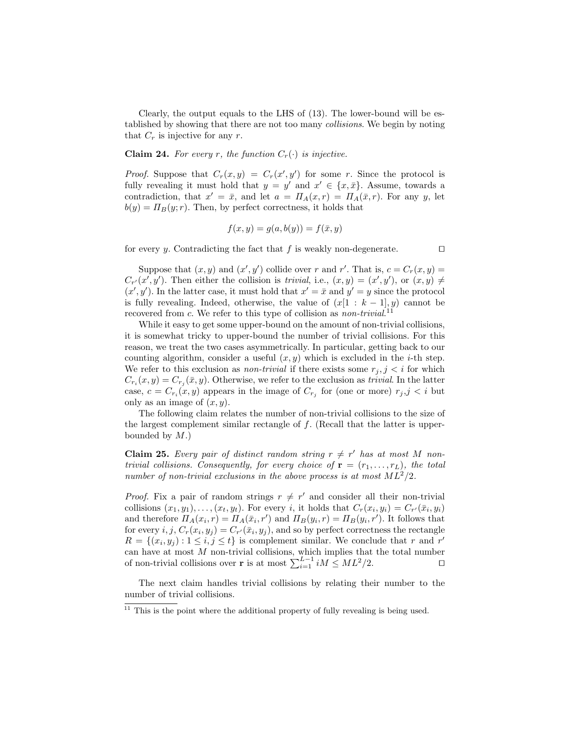Clearly, the output equals to the LHS of (13). The lower-bound will be established by showing that there are not too many collisions. We begin by noting that  $C_r$  is injective for any r.

**Claim 24.** For every r, the function  $C_r(\cdot)$  is injective.

*Proof.* Suppose that  $C_r(x,y) = C_r(x',y')$  for some r. Since the protocol is fully revealing it must hold that  $y = y'$  and  $x' \in \{x, \bar{x}\}.$  Assume, towards a contradiction, that  $x' = \bar{x}$ , and let  $a = \Pi_A(x,r) = \Pi_A(\bar{x},r)$ . For any y, let  $b(y) = \Pi_B(y; r)$ . Then, by perfect correctness, it holds that

$$
f(x, y) = g(a, b(y)) = f(\bar{x}, y)
$$

for every y. Contradicting the fact that f is weakly non-degenerate.  $\Box$ 

Suppose that  $(x, y)$  and  $(x', y')$  collide over r and r'. That is,  $c = C_r(x, y) =$  $C_{r'}(x',y')$ . Then either the collision is trivial, i.e.,  $(x,y) = (x',y')$ , or  $(x,y) \neq$  $(x', y')$ . In the latter case, it must hold that  $x' = \bar{x}$  and  $y' = y$  since the protocol is fully revealing. Indeed, otherwise, the value of  $(x[1 : k - 1], y)$  cannot be recovered from c. We refer to this type of collision as *non-trivial*.<sup>11</sup>

While it easy to get some upper-bound on the amount of non-trivial collisions, it is somewhat tricky to upper-bound the number of trivial collisions. For this reason, we treat the two cases asymmetrically. In particular, getting back to our counting algorithm, consider a useful  $(x, y)$  which is excluded in the *i*-th step. We refer to this exclusion as *non-trivial* if there exists some  $r_j, j \lt i$  for which  $C_{r_i}(x, y) = C_{r_j}(\bar{x}, y)$ . Otherwise, we refer to the exclusion as *trivial*. In the latter case,  $c = C_{r_i}(x, y)$  appears in the image of  $C_{r_j}$  for (one or more)  $r_j, j \leq i$  but only as an image of  $(x, y)$ .

The following claim relates the number of non-trivial collisions to the size of the largest complement similar rectangle of  $f$ . (Recall that the latter is upperbounded by  $M$ .)

**Claim 25.** Every pair of distinct random string  $r \neq r'$  has at most M nontrivial collisions. Consequently, for every choice of  $\mathbf{r} = (r_1, \ldots, r_L)$ , the total number of non-trivial exclusions in the above process is at most  $ML^2/2$ .

*Proof.* Fix a pair of random strings  $r \neq r'$  and consider all their non-trivial collisions  $(x_1, y_1), \ldots, (x_t, y_t)$ . For every i, it holds that  $C_r(x_i, y_i) = C_{r'}(\bar{x}_i, y_i)$ and therefore  $\Pi_A(x_i, r) = \Pi_A(\bar{x}_i, r')$  and  $\Pi_B(y_i, r) = \Pi_B(y_i, r')$ . It follows that for every  $i, j, C_r(x_i, y_j) = C_{r'}(\bar{x}_i, y_j)$ , and so by perfect correctness the rectangle  $R = \{(x_i, y_j) : 1 \leq i, j \leq t\}$  is complement similar. We conclude that r and r' can have at most  $M$  non-trivial collisions, which implies that the total number of non-trivial collisions over **r** is at most  $\sum_{i=1}^{L-1} iM \leq ML^2/2$ .

The next claim handles trivial collisions by relating their number to the number of trivial collisions.

 $11$  This is the point where the additional property of fully revealing is being used.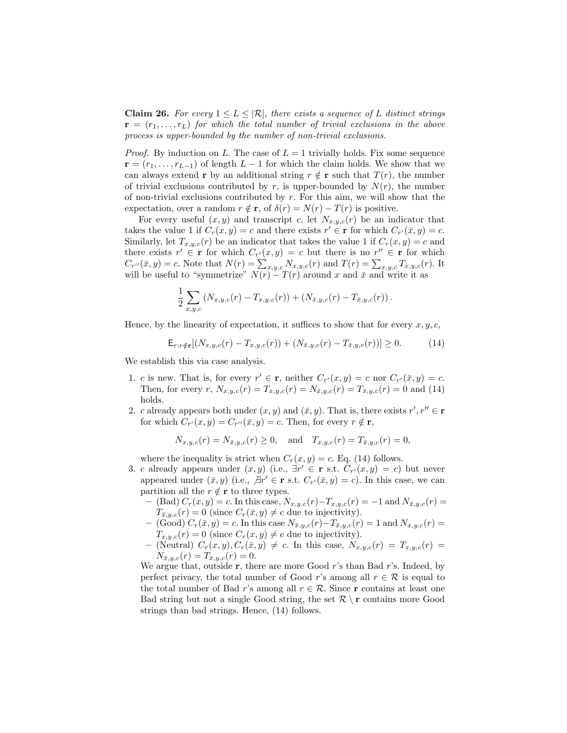**Claim 26.** For every  $1 \leq L \leq |\mathcal{R}|$ , there exists a sequence of L distinct strings  $\mathbf{r} = (r_1, \ldots, r_L)$  for which the total number of trivial exclusions in the above process is upper-bounded by the number of non-trivial exclusions.

*Proof.* By induction on L. The case of  $L = 1$  trivially holds. Fix some sequence  $\mathbf{r} = (r_1, \ldots, r_{L-1})$  of length  $L-1$  for which the claim holds. We show that we can always extend r by an additional string  $r \notin r$  such that  $T(r)$ , the number of trivial exclusions contributed by r, is upper-bounded by  $N(r)$ , the number of non-trivial exclusions contributed by  $r$ . For this aim, we will show that the expectation, over a random  $r \notin \mathbf{r}$ , of  $\delta(r) = N(r) - T(r)$  is positive.

For every useful  $(x, y)$  and transcript c, let  $N_{x,y,c}(r)$  be an indicator that takes the value 1 if  $C_r(x, y) = c$  and there exists  $r' \in \mathbf{r}$  for which  $C_{r'}(\bar{x}, y) = c$ . Similarly, let  $T_{x,y,c}(r)$  be an indicator that takes the value 1 if  $C_r(x,y) = c$  and there exists  $r' \in \mathbf{r}$  for which  $C_{r'}(x,y) = c$  but there is no  $r'' \in \mathbf{r}$  for which  $C_{r''}(\bar{x},y) = c.$  Note that  $N(r) = \sum_{x,y,c} N_{x,y,c}(r)$  and  $T(r) = \sum_{x,y,c} T_{x,y,c}(r)$ . It will be useful to "symmetrize"  $N(r) - T(r)$  around x and  $\bar{x}$  and write it as

$$
\frac{1}{2}\sum_{x,y,c} (N_{x,y,c}(r) - T_{x,y,c}(r)) + (N_{\bar{x},y,c}(r) - T_{\bar{x},y,c}(r)).
$$

Hence, by the linearity of expectation, it suffices to show that for every  $x, y, c$ ,

$$
\mathsf{E}_{r:r\notin\mathbf{r}}[(N_{x,y,c}(r) - T_{x,y,c}(r)) + (N_{\bar{x},y,c}(r) - T_{\bar{x},y,c}(r))] \ge 0.
$$
 (14)

We establish this via case analysis.

- 1. c is new. That is, for every  $r' \in \mathbf{r}$ , neither  $C_{r'}(x,y) = c$  nor  $C_{r'}(\bar{x},y) = c$ . Then, for every r,  $N_{x,y,c}(r) = T_{x,y,c}(r) = N_{\bar{x},y,c}(r) = T_{\bar{x},y,c}(r) = 0$  and (14) holds.
- 2. c already appears both under  $(x, y)$  and  $(\bar{x}, y)$ . That is, there exists  $r', r'' \in \mathbf{r}$ for which  $C_{r'}(x,y) = C_{r''}(\bar{x},y) = c$ . Then, for every  $r \notin \mathbf{r}$ ,

$$
N_{x,y,c}(r) = N_{\bar{x},y,c}(r) \ge 0
$$
, and  $T_{x,y,c}(r) = T_{\bar{x},y,c}(r) = 0$ ,

where the inequality is strict when  $C_r(x, y) = c$ . Eq. (14) follows.

- 3. c already appears under  $(x, y)$  (i.e.,  $\exists r' \in \mathbf{r}$  s.t.  $C_{r'}(x, y) = c$ ) but never appeared under  $(\bar{x}, y)$  (i.e.,  $\bar{\beta}r' \in \mathbf{r}$  s.t.  $C_{r'}(\bar{x}, y) = c$ ). In this case, we can partition all the  $r \notin \mathbf{r}$  to three types.
	- (Bad)  $C_r(x, y) = c$ . In this case,  $N_{x, y, c}(r) T_{x, y, c}(r) = -1$  and  $N_{\bar{x}, y, c}(r) =$  $T_{\bar{x},y,c}(r) = 0$  (since  $C_r(\bar{x}, y) \neq c$  due to injectivity).
	- (Good)  $C_r(\bar{x}, y) = c$ . In this case  $N_{\bar{x},y,c}(r) T_{\bar{x},y,c}(r) = 1$  and  $N_{x,y,c}(r) = 1$  $T_{x,y,c}(r) = 0$  (since  $C_r(x,y) \neq c$  due to injectivity).
	- (Neutral)  $C_r(x, y), C_r(\bar{x}, y) \neq c$ . In this case,  $N_{x, y, c}(r) = T_{x, y, c}(r)$  $N_{\bar{x},y,c}(r) = T_{\bar{x},y,c}(r) = 0.$

We argue that, outside  $r$ , there are more Good r's than Bad r's. Indeed, by perfect privacy, the total number of Good r's among all  $r \in \mathcal{R}$  is equal to the total number of Bad r's among all  $r \in \mathcal{R}$ . Since **r** contains at least one Bad string but not a single Good string, the set  $\mathcal{R} \setminus \mathbf{r}$  contains more Good strings than bad strings. Hence, (14) follows.